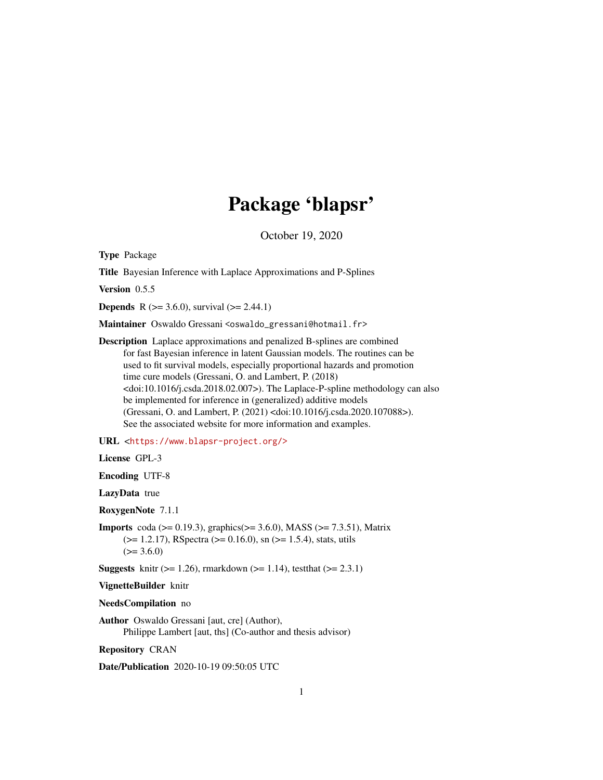# Package 'blapsr'

October 19, 2020

<span id="page-0-0"></span>Type Package

Title Bayesian Inference with Laplace Approximations and P-Splines

Version 0.5.5

**Depends** R ( $>= 3.6.0$ ), survival ( $>= 2.44.1$ )

Maintainer Oswaldo Gressani <oswaldo\_gressani@hotmail.fr>

Description Laplace approximations and penalized B-splines are combined for fast Bayesian inference in latent Gaussian models. The routines can be used to fit survival models, especially proportional hazards and promotion time cure models (Gressani, O. and Lambert, P. (2018) <doi:10.1016/j.csda.2018.02.007>). The Laplace-P-spline methodology can also be implemented for inference in (generalized) additive models (Gressani, O. and Lambert, P. (2021) <doi:10.1016/j.csda.2020.107088>). See the associated website for more information and examples.

URL <<https://www.blapsr-project.org/>>

License GPL-3

Encoding UTF-8

LazyData true

RoxygenNote 7.1.1

**Imports** coda ( $> = 0.19.3$ ), graphics( $> = 3.6.0$ ), MASS ( $> = 7.3.51$ ), Matrix  $(>= 1.2.17)$ , RSpectra  $(>= 0.16.0)$ , sn  $(>= 1.5.4)$ , stats, utils  $(>= 3.6.0)$ 

**Suggests** knitr ( $>= 1.26$ ), rmarkdown ( $>= 1.14$ ), test that ( $>= 2.3.1$ )

VignetteBuilder knitr

NeedsCompilation no

Author Oswaldo Gressani [aut, cre] (Author), Philippe Lambert [aut, ths] (Co-author and thesis advisor)

Repository CRAN

Date/Publication 2020-10-19 09:50:05 UTC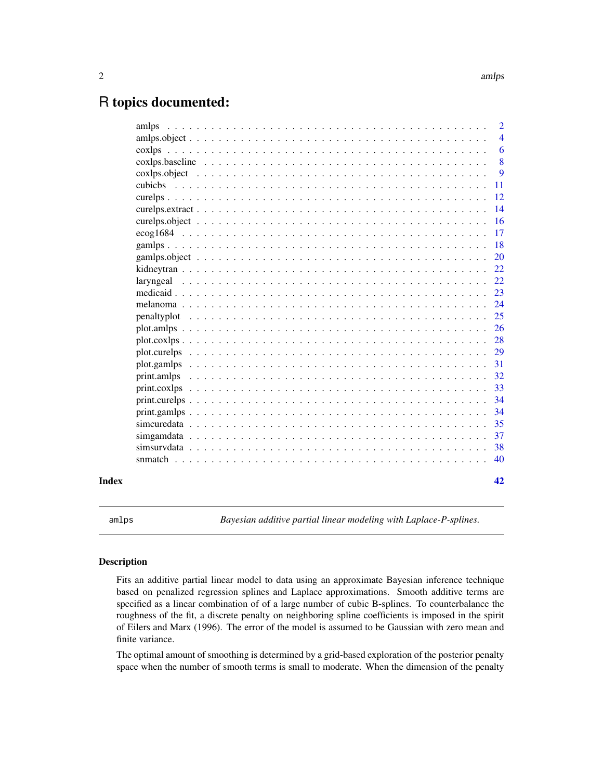## <span id="page-1-0"></span>R topics documented:

|       | amlps       | $\overline{2}$ |
|-------|-------------|----------------|
|       |             | $\overline{4}$ |
|       |             | 6              |
|       |             | 8              |
|       |             | 9              |
|       |             | 11             |
|       |             | 12             |
|       |             | 14             |
|       |             | <b>16</b>      |
|       |             | 17             |
|       |             | 18             |
|       |             | <b>20</b>      |
|       |             | 22             |
|       |             | 22             |
|       |             | 23             |
|       |             | 24             |
|       |             | 25             |
|       |             | 26             |
|       | plot.coxlps | 28             |
|       |             | 29             |
|       |             | 31             |
|       | print.amlps | 32             |
|       |             | 33             |
|       |             | 34             |
|       |             | 34             |
|       |             | 35             |
|       |             | 37             |
|       |             | 38             |
|       |             | 40             |
| Index |             | 42             |

<span id="page-1-1"></span>amlps *Bayesian additive partial linear modeling with Laplace-P-splines.*

#### Description

Fits an additive partial linear model to data using an approximate Bayesian inference technique based on penalized regression splines and Laplace approximations. Smooth additive terms are specified as a linear combination of of a large number of cubic B-splines. To counterbalance the roughness of the fit, a discrete penalty on neighboring spline coefficients is imposed in the spirit of Eilers and Marx (1996). The error of the model is assumed to be Gaussian with zero mean and finite variance.

The optimal amount of smoothing is determined by a grid-based exploration of the posterior penalty space when the number of smooth terms is small to moderate. When the dimension of the penalty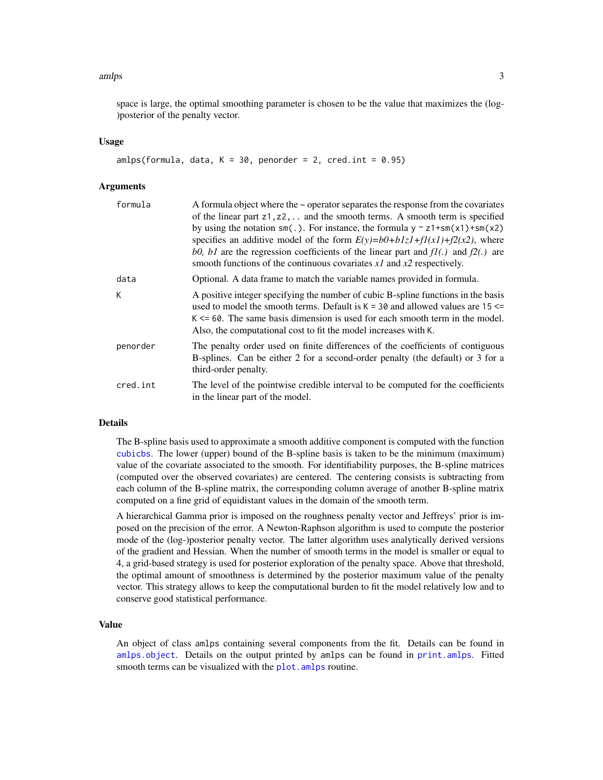#### <span id="page-2-0"></span>amlps 3

space is large, the optimal smoothing parameter is chosen to be the value that maximizes the (log- )posterior of the penalty vector.

#### Usage

```
amlps(formula, data, K = 30, penorder = 2, cred.int = 0.95)
```
#### **Arguments**

| formula  | A formula object where the $\sim$ operator separates the response from the covariates<br>of the linear part $z1$ , $z2$ ,  and the smooth terms. A smooth term is specified<br>by using the notation $sm(.)$ . For instance, the formula $y \sim z1 + sm(x1) + sm(x2)$<br>specifies an additive model of the form $E(y)=b0+b1zI+f1(xI)+f2(x2)$ , where<br>b0, b1 are the regression coefficients of the linear part and $f1(.)$ and $f2(.)$ are<br>smooth functions of the continuous covariates $xI$ and $x2$ respectively. |
|----------|------------------------------------------------------------------------------------------------------------------------------------------------------------------------------------------------------------------------------------------------------------------------------------------------------------------------------------------------------------------------------------------------------------------------------------------------------------------------------------------------------------------------------|
| data     | Optional. A data frame to match the variable names provided in formula.                                                                                                                                                                                                                                                                                                                                                                                                                                                      |
| К        | A positive integer specifying the number of cubic B-spline functions in the basis<br>used to model the smooth terms. Default is $K = 30$ and allowed values are 15 $\le$<br>$K \le 60$ . The same basis dimension is used for each smooth term in the model.<br>Also, the computational cost to fit the model increases with K.                                                                                                                                                                                              |
| penorder | The penalty order used on finite differences of the coefficients of contiguous<br>B-splines. Can be either 2 for a second-order penalty (the default) or 3 for a<br>third-order penalty.                                                                                                                                                                                                                                                                                                                                     |
| cred.int | The level of the pointwise credible interval to be computed for the coefficients<br>in the linear part of the model.                                                                                                                                                                                                                                                                                                                                                                                                         |

### Details

The B-spline basis used to approximate a smooth additive component is computed with the function [cubicbs](#page-10-1). The lower (upper) bound of the B-spline basis is taken to be the minimum (maximum) value of the covariate associated to the smooth. For identifiability purposes, the B-spline matrices (computed over the observed covariates) are centered. The centering consists is subtracting from each column of the B-spline matrix, the corresponding column average of another B-spline matrix computed on a fine grid of equidistant values in the domain of the smooth term.

A hierarchical Gamma prior is imposed on the roughness penalty vector and Jeffreys' prior is imposed on the precision of the error. A Newton-Raphson algorithm is used to compute the posterior mode of the (log-)posterior penalty vector. The latter algorithm uses analytically derived versions of the gradient and Hessian. When the number of smooth terms in the model is smaller or equal to 4, a grid-based strategy is used for posterior exploration of the penalty space. Above that threshold, the optimal amount of smoothness is determined by the posterior maximum value of the penalty vector. This strategy allows to keep the computational burden to fit the model relatively low and to conserve good statistical performance.

### Value

An object of class amlps containing several components from the fit. Details can be found in [amlps.object](#page-3-1). Details on the output printed by amlps can be found in [print.amlps](#page-31-1). Fitted smooth terms can be visualized with the plot. amlps routine.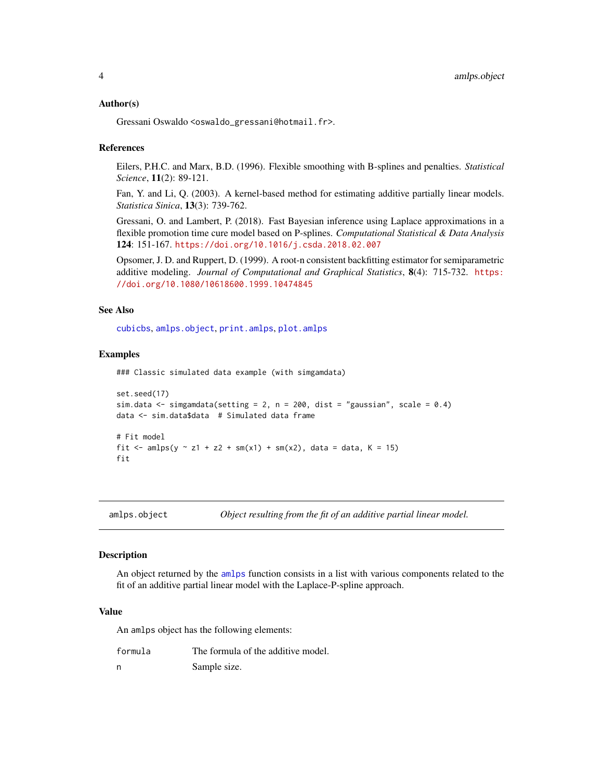#### <span id="page-3-0"></span>Author(s)

Gressani Oswaldo <oswaldo\_gressani@hotmail.fr>.

#### References

Eilers, P.H.C. and Marx, B.D. (1996). Flexible smoothing with B-splines and penalties. *Statistical Science*, 11(2): 89-121.

Fan, Y. and Li, Q. (2003). A kernel-based method for estimating additive partially linear models. *Statistica Sinica*, 13(3): 739-762.

Gressani, O. and Lambert, P. (2018). Fast Bayesian inference using Laplace approximations in a flexible promotion time cure model based on P-splines. *Computational Statistical & Data Analysis* 124: 151-167. <https://doi.org/10.1016/j.csda.2018.02.007>

Opsomer, J. D. and Ruppert, D. (1999). A root-n consistent backfitting estimator for semiparametric additive modeling. *Journal of Computational and Graphical Statistics*, 8(4): 715-732. [https:](https://doi.org/10.1080/10618600.1999.10474845) [//doi.org/10.1080/10618600.1999.10474845](https://doi.org/10.1080/10618600.1999.10474845)

#### See Also

[cubicbs](#page-10-1), [amlps.object](#page-3-1), [print.amlps](#page-31-1), [plot.amlps](#page-25-1)

#### Examples

### Classic simulated data example (with simgamdata)

```
set.seed(17)
sim.data \le simgamdata(setting = 2, n = 200, dist = "gaussian", scale = 0.4)
data <- sim.data$data # Simulated data frame
# Fit model
fit <- amlps(y \sim z1 + z2 + sm(x1) + sm(x2), data = data, K = 15)
fit
```
<span id="page-3-1"></span>amlps.object *Object resulting from the fit of an additive partial linear model.*

#### **Description**

An object returned by the [amlps](#page-1-1) function consists in a list with various components related to the fit of an additive partial linear model with the Laplace-P-spline approach.

#### Value

An amlps object has the following elements:

| formula | The formula of the additive model. |
|---------|------------------------------------|
| n       | Sample size.                       |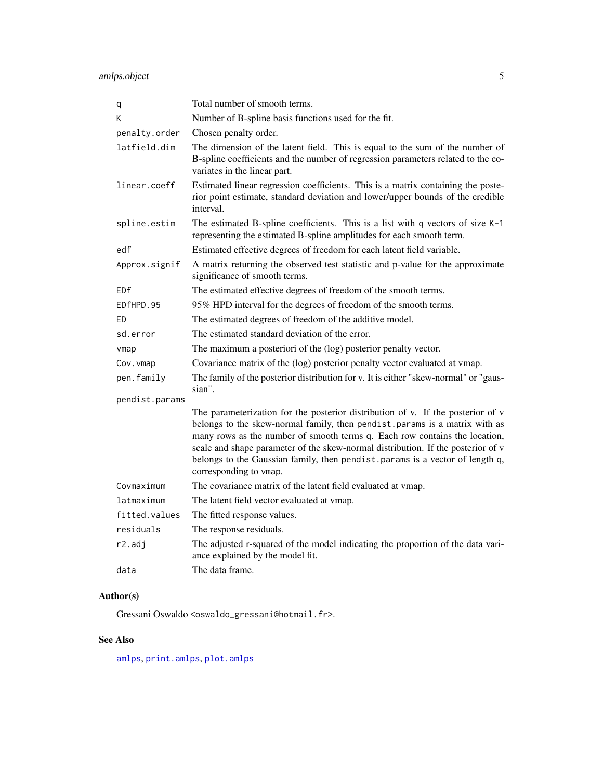<span id="page-4-0"></span>amlps.object 5

| q              | Total number of smooth terms.                                                                                                                                                                                                                                                                                                                                                                                                               |
|----------------|---------------------------------------------------------------------------------------------------------------------------------------------------------------------------------------------------------------------------------------------------------------------------------------------------------------------------------------------------------------------------------------------------------------------------------------------|
| Κ              | Number of B-spline basis functions used for the fit.                                                                                                                                                                                                                                                                                                                                                                                        |
| penalty.order  | Chosen penalty order.                                                                                                                                                                                                                                                                                                                                                                                                                       |
| latfield.dim   | The dimension of the latent field. This is equal to the sum of the number of<br>B-spline coefficients and the number of regression parameters related to the co-<br>variates in the linear part.                                                                                                                                                                                                                                            |
| linear.coeff   | Estimated linear regression coefficients. This is a matrix containing the poste-<br>rior point estimate, standard deviation and lower/upper bounds of the credible<br>interval.                                                                                                                                                                                                                                                             |
| spline.estim   | The estimated B-spline coefficients. This is a list with q vectors of size K-1<br>representing the estimated B-spline amplitudes for each smooth term.                                                                                                                                                                                                                                                                                      |
| edf            | Estimated effective degrees of freedom for each latent field variable.                                                                                                                                                                                                                                                                                                                                                                      |
| Approx.signif  | A matrix returning the observed test statistic and p-value for the approximate<br>significance of smooth terms.                                                                                                                                                                                                                                                                                                                             |
| EDf            | The estimated effective degrees of freedom of the smooth terms.                                                                                                                                                                                                                                                                                                                                                                             |
| EDfHPD.95      | 95% HPD interval for the degrees of freedom of the smooth terms.                                                                                                                                                                                                                                                                                                                                                                            |
| ED             | The estimated degrees of freedom of the additive model.                                                                                                                                                                                                                                                                                                                                                                                     |
| sd.error       | The estimated standard deviation of the error.                                                                                                                                                                                                                                                                                                                                                                                              |
| vmap           | The maximum a posteriori of the (log) posterior penalty vector.                                                                                                                                                                                                                                                                                                                                                                             |
| Cov. vmap      | Covariance matrix of the (log) posterior penalty vector evaluated at vmap.                                                                                                                                                                                                                                                                                                                                                                  |
| pen.family     | The family of the posterior distribution for v. It is either "skew-normal" or "gaus-<br>sian".                                                                                                                                                                                                                                                                                                                                              |
| pendist.params |                                                                                                                                                                                                                                                                                                                                                                                                                                             |
|                | The parameterization for the posterior distribution of v. If the posterior of v<br>belongs to the skew-normal family, then pendist. params is a matrix with as<br>many rows as the number of smooth terms q. Each row contains the location,<br>scale and shape parameter of the skew-normal distribution. If the posterior of v<br>belongs to the Gaussian family, then pendist. params is a vector of length q,<br>corresponding to vmap. |
| Covmaximum     | The covariance matrix of the latent field evaluated at vmap.                                                                                                                                                                                                                                                                                                                                                                                |
| latmaximum     | The latent field vector evaluated at vmap.                                                                                                                                                                                                                                                                                                                                                                                                  |
| fitted.values  | The fitted response values.                                                                                                                                                                                                                                                                                                                                                                                                                 |
| residuals      | The response residuals.                                                                                                                                                                                                                                                                                                                                                                                                                     |
| r2.adj         | The adjusted r-squared of the model indicating the proportion of the data vari-<br>ance explained by the model fit.                                                                                                                                                                                                                                                                                                                         |
| data           | The data frame.                                                                                                                                                                                                                                                                                                                                                                                                                             |

### Author(s)

Gressani Oswaldo <oswaldo\_gressani@hotmail.fr>.

### See Also

[amlps](#page-1-1), [print.amlps](#page-31-1), [plot.amlps](#page-25-1)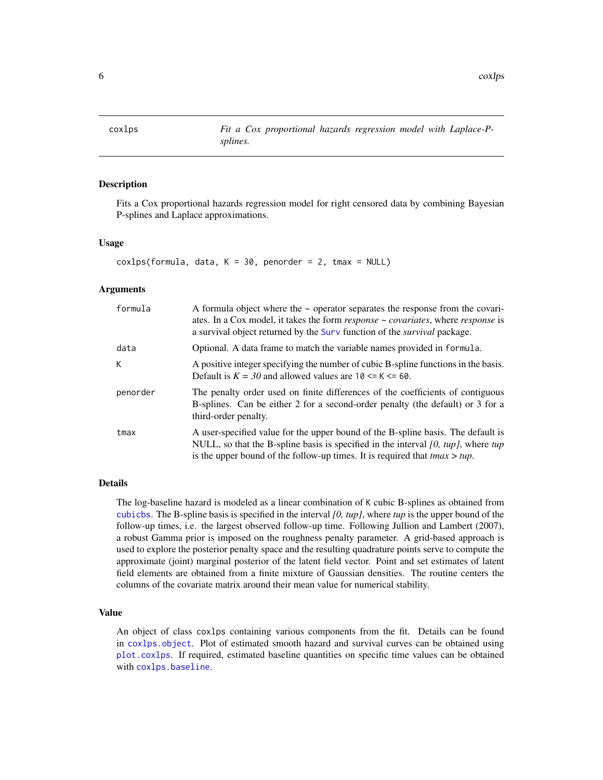<span id="page-5-1"></span><span id="page-5-0"></span>

### Description

Fits a Cox proportional hazards regression model for right censored data by combining Bayesian P-splines and Laplace approximations.

### Usage

 $coxlps(formula, data, K = 30, penorder = 2, tmax = NULL)$ 

#### Arguments

| formula  | A formula object where the $\sim$ operator separates the response from the covari-<br>ates. In a Cox model, it takes the form <i>response</i> ~ <i>covariates</i> , where <i>response</i> is<br>a survival object returned by the Surv function of the <i>survival</i> package. |
|----------|---------------------------------------------------------------------------------------------------------------------------------------------------------------------------------------------------------------------------------------------------------------------------------|
| data     | Optional. A data frame to match the variable names provided in formula.                                                                                                                                                                                                         |
| К        | A positive integer specifying the number of cubic B-spline functions in the basis.<br>Default is $K = 30$ and allowed values are 10 $\le K \le 60$ .                                                                                                                            |
| penorder | The penalty order used on finite differences of the coefficients of contiguous<br>B-splines. Can be either 2 for a second-order penalty (the default) or 3 for a<br>third-order penalty.                                                                                        |
| tmax     | A user-specified value for the upper bound of the B-spline basis. The default is<br>NULL, so that the B-spline basis is specified in the interval $[0, \text{tup}]$ , where tup<br>is the upper bound of the follow-up times. It is required that $tmax > tup$ .                |

#### Details

The log-baseline hazard is modeled as a linear combination of K cubic B-splines as obtained from [cubicbs](#page-10-1). The B-spline basis is specified in the interval *[0, tup]*, where *tup* is the upper bound of the follow-up times, i.e. the largest observed follow-up time. Following Jullion and Lambert (2007), a robust Gamma prior is imposed on the roughness penalty parameter. A grid-based approach is used to explore the posterior penalty space and the resulting quadrature points serve to compute the approximate (joint) marginal posterior of the latent field vector. Point and set estimates of latent field elements are obtained from a finite mixture of Gaussian densities. The routine centers the columns of the covariate matrix around their mean value for numerical stability.

### Value

An object of class coxlps containing various components from the fit. Details can be found in [coxlps.object](#page-8-1). Plot of estimated smooth hazard and survival curves can be obtained using [plot.coxlps](#page-27-1). If required, estimated baseline quantities on specific time values can be obtained with [coxlps.baseline](#page-7-1).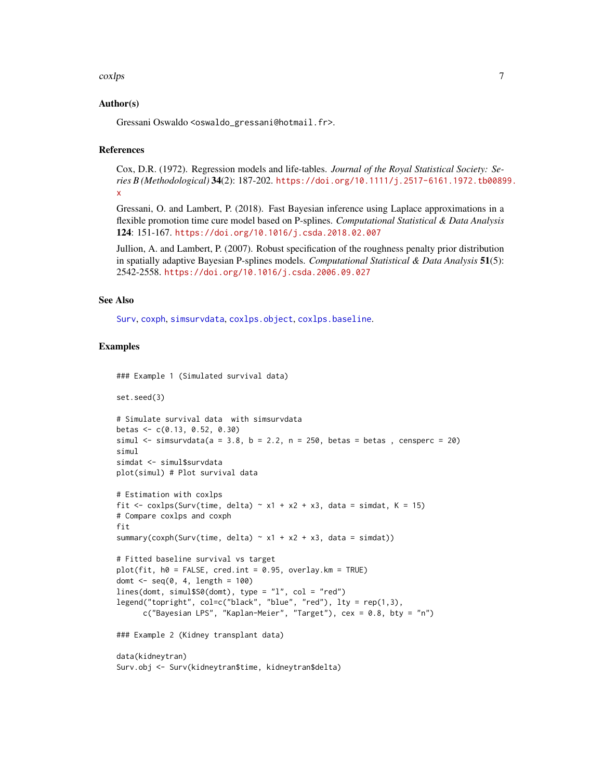#### <span id="page-6-0"></span>coxlps 7

#### Author(s)

Gressani Oswaldo <oswaldo\_gressani@hotmail.fr>.

#### References

Cox, D.R. (1972). Regression models and life-tables. *Journal of the Royal Statistical Society: Series B (Methodological)* 34(2): 187-202. [https://doi.org/10.1111/j.2517-6161.1972.tb0089](https://doi.org/10.1111/j.2517-6161.1972.tb00899.x)9. [x](https://doi.org/10.1111/j.2517-6161.1972.tb00899.x)

Gressani, O. and Lambert, P. (2018). Fast Bayesian inference using Laplace approximations in a flexible promotion time cure model based on P-splines. *Computational Statistical & Data Analysis* 124: 151-167. <https://doi.org/10.1016/j.csda.2018.02.007>

Jullion, A. and Lambert, P. (2007). Robust specification of the roughness penalty prior distribution in spatially adaptive Bayesian P-splines models. *Computational Statistical & Data Analysis* 51(5): 2542-2558. <https://doi.org/10.1016/j.csda.2006.09.027>

### See Also

[Surv](#page-0-0), [coxph](#page-0-0), [simsurvdata](#page-37-1), [coxlps.object](#page-8-1), [coxlps.baseline](#page-7-1).

### Examples

```
### Example 1 (Simulated survival data)
```
plot(simul) # Plot survival data

```
set.seed(3)
```

```
# Simulate survival data with simsurvdata
betas <- c(0.13, 0.52, 0.30)
simul \le simsurvdata(a = 3.8, b = 2.2, n = 250, betas = betas, censperc = 20)
simul
simdat <- simul$survdata
```

```
# Estimation with coxlps
fit \le coxlps(Surv(time, delta) \sim x1 + x2 + x3, data = simdat, K = 15)
# Compare coxlps and coxph
fit
```

```
summary(coxph(Surv(time, delta) \sim x1 + x2 + x3, data = simdat))
```

```
# Fitted baseline survival vs target
plot(fit, h0 = FALSE, cred.int = 0.95, overlay.km = TRUE)
domt \leq seq(0, 4, length = 100)
lines(domt, simul$S0(domt), type = "l", col = "red")
legend("topright", col=c("black", "blue", "red"), lty = rep(1,3),
      c("Bayesian LPS", "Kaplan-Meier", "Target"), cex = 0.8, bty = "n")
```
### Example 2 (Kidney transplant data)

```
data(kidneytran)
Surv.obj <- Surv(kidneytran$time, kidneytran$delta)
```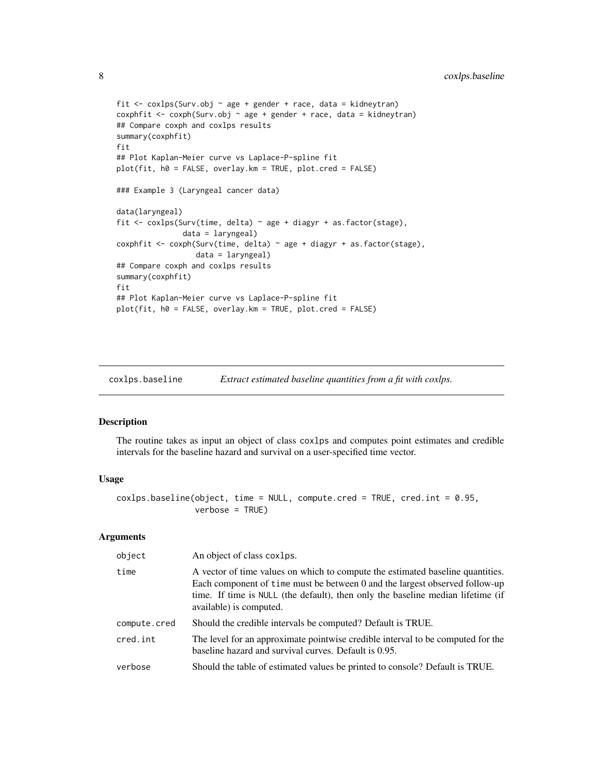```
fit \le coxlps(Surv.obj \sim age + gender + race, data = kidneytran)
coxphfit <- coxph(Surv.obj ~ age + gender + race, data = kidneytran)
## Compare coxph and coxlps results
summary(coxphfit)
fit
## Plot Kaplan-Meier curve vs Laplace-P-spline fit
plot(fit, h0 = FALSE, overlay.km = TRUE, plot.cred = FALSE)
### Example 3 (Laryngeal cancer data)
data(laryngeal)
fit <- coxlps(Surv(time, delta) ~ age + diagyr + as.factor(stage),
               data = laryngeal)
coxphfit \leq coxph(Surv(time, delta) \sim age + diagyr + as.factor(stage),
                  data = laryngeal)
## Compare coxph and coxlps results
summary(coxphfit)
fit
## Plot Kaplan-Meier curve vs Laplace-P-spline fit
plot(fit, h0 = FALSE, overlay.km = TRUE, plot.cred = FALSE)
```
<span id="page-7-1"></span>coxlps.baseline *Extract estimated baseline quantities from a fit with coxlps.*

### Description

The routine takes as input an object of class coxlps and computes point estimates and credible intervals for the baseline hazard and survival on a user-specified time vector.

#### Usage

```
coxlps.baseline(object, time = NULL, compute.cred = TRUE, cred.int = 0.95,
                verbose = TRUE)
```

| object       | An object of class coxlps.                                                                                                                                                                                                                                                  |
|--------------|-----------------------------------------------------------------------------------------------------------------------------------------------------------------------------------------------------------------------------------------------------------------------------|
| time         | A vector of time values on which to compute the estimated baseline quantities.<br>Each component of time must be between 0 and the largest observed follow-up<br>time. If time is NULL (the default), then only the baseline median lifetime (if<br>available) is computed. |
| compute.cred | Should the credible intervals be computed? Default is TRUE.                                                                                                                                                                                                                 |
| cred.int     | The level for an approximate pointwise credible interval to be computed for the<br>baseline hazard and survival curves. Default is 0.95.                                                                                                                                    |
| verbose      | Should the table of estimated values be printed to console? Default is TRUE.                                                                                                                                                                                                |

<span id="page-7-0"></span>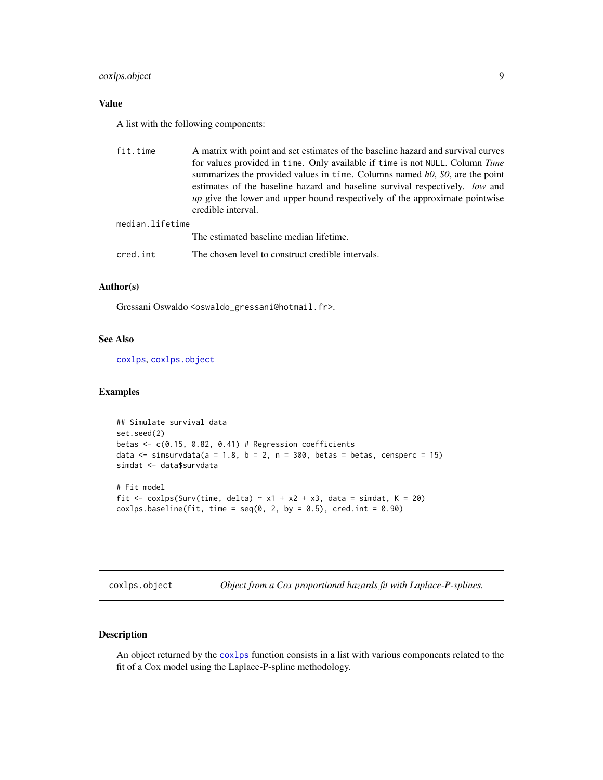### <span id="page-8-0"></span>coxlps.object 9

### Value

A list with the following components:

| fit.time        | A matrix with point and set estimates of the baseline hazard and survival curves                         |
|-----------------|----------------------------------------------------------------------------------------------------------|
|                 | for values provided in time. Only available if time is not NULL. Column Time                             |
|                 | summarizes the provided values in time. Columns named h0, S0, are the point                              |
|                 | estimates of the baseline hazard and baseline survival respectively. <i>low</i> and                      |
|                 | <i>up</i> give the lower and upper bound respectively of the approximate pointwise<br>credible interval. |
| median.lifetime |                                                                                                          |
|                 | The estimated baseline median lifetime.                                                                  |
|                 |                                                                                                          |

cred.int The chosen level to construct credible intervals.

### Author(s)

Gressani Oswaldo <oswaldo\_gressani@hotmail.fr>.

### See Also

[coxlps](#page-5-1), [coxlps.object](#page-8-1)

#### Examples

```
## Simulate survival data
set.seed(2)
betas \leq c(0.15, 0.82, 0.41) # Regression coefficients
data \le simsurvdata(a = 1.8, b = 2, n = 300, betas = betas, censperc = 15)
simdat <- data$survdata
# Fit model
fit \le coxlps(Surv(time, delta) \sim x1 + x2 + x3, data = simdat, K = 20)
\text{coxlps}.\text{baseline}(\text{fit}, \text{time} = \text{seq}(0, 2, \text{by} = 0.5), \text{cred.int} = 0.90)
```
<span id="page-8-1"></span>coxlps.object *Object from a Cox proportional hazards fit with Laplace-P-splines.*

### Description

An object returned by the [coxlps](#page-5-1) function consists in a list with various components related to the fit of a Cox model using the Laplace-P-spline methodology.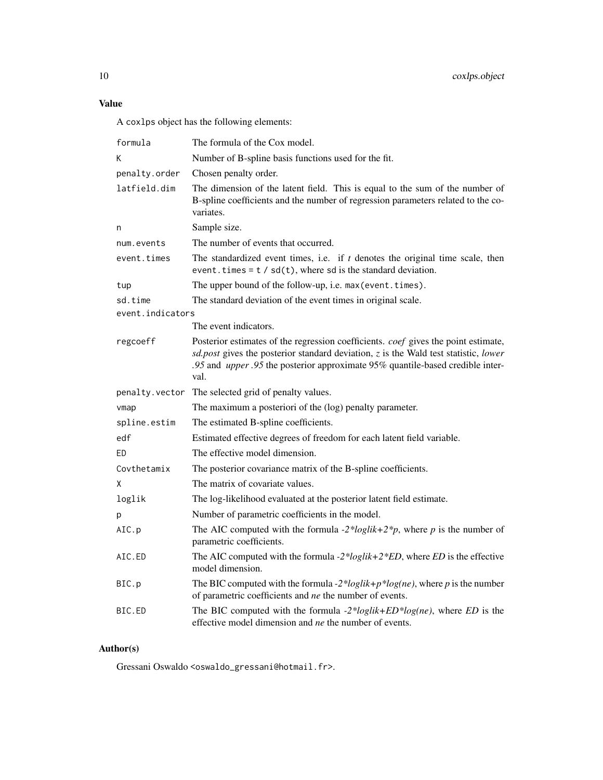### Value

A coxlps object has the following elements:

| formula          | The formula of the Cox model.                                                                                                                                                                                                                                                          |
|------------------|----------------------------------------------------------------------------------------------------------------------------------------------------------------------------------------------------------------------------------------------------------------------------------------|
| Κ                | Number of B-spline basis functions used for the fit.                                                                                                                                                                                                                                   |
| penalty.order    | Chosen penalty order.                                                                                                                                                                                                                                                                  |
| latfield.dim     | The dimension of the latent field. This is equal to the sum of the number of<br>B-spline coefficients and the number of regression parameters related to the co-<br>variates.                                                                                                          |
| n                | Sample size.                                                                                                                                                                                                                                                                           |
| num.events       | The number of events that occurred.                                                                                                                                                                                                                                                    |
| event.times      | The standardized event times, i.e. if $t$ denotes the original time scale, then<br>event. times = $t / sd(t)$ , where sd is the standard deviation.                                                                                                                                    |
| tup              | The upper bound of the follow-up, i.e. max (event. times).                                                                                                                                                                                                                             |
| sd.time          | The standard deviation of the event times in original scale.                                                                                                                                                                                                                           |
| event.indicators |                                                                                                                                                                                                                                                                                        |
|                  | The event indicators.                                                                                                                                                                                                                                                                  |
| regcoeff         | Posterior estimates of the regression coefficients. <i>coef</i> gives the point estimate,<br>$sd. post$ gives the posterior standard deviation, $z$ is the Wald test statistic, lower<br>.95 and <i>upper</i> .95 the posterior approximate 95% quantile-based credible inter-<br>val. |
| penalty.vector   | The selected grid of penalty values.                                                                                                                                                                                                                                                   |
| vmap             | The maximum a posteriori of the (log) penalty parameter.                                                                                                                                                                                                                               |
| spline.estim     | The estimated B-spline coefficients.                                                                                                                                                                                                                                                   |
| edf              | Estimated effective degrees of freedom for each latent field variable.                                                                                                                                                                                                                 |
| ED               | The effective model dimension.                                                                                                                                                                                                                                                         |
| Covthetamix      | The posterior covariance matrix of the B-spline coefficients.                                                                                                                                                                                                                          |
| Χ                | The matrix of covariate values.                                                                                                                                                                                                                                                        |
| loglik           | The log-likelihood evaluated at the posterior latent field estimate.                                                                                                                                                                                                                   |
| p                | Number of parametric coefficients in the model.                                                                                                                                                                                                                                        |
| AIC.p            | The AIC computed with the formula -2*loglik+2*p, where p is the number of<br>parametric coefficients.                                                                                                                                                                                  |
| AIC.ED           | The AIC computed with the formula $-2 * loglik + 2 * ED$ , where <i>ED</i> is the effective                                                                                                                                                                                            |
|                  | model dimension.                                                                                                                                                                                                                                                                       |
| BIC.p            | The BIC computed with the formula -2*loglik+p*log(ne), where p is the number<br>of parametric coefficients and ne the number of events.                                                                                                                                                |

## Author(s)

Gressani Oswaldo <oswaldo\_gressani@hotmail.fr>.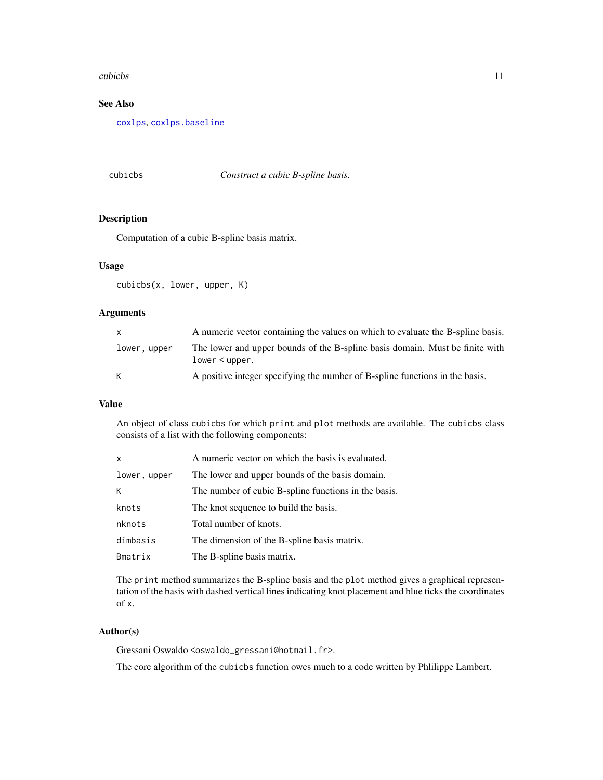#### <span id="page-10-0"></span>cubicbs and the cubic set of the contract of the contract of the contract of the contract of the contract of the contract of the contract of the contract of the contract of the contract of the contract of the contract of t

### See Also

[coxlps](#page-5-1), [coxlps.baseline](#page-7-1)

### <span id="page-10-1"></span>cubicbs *Construct a cubic B-spline basis.*

### Description

Computation of a cubic B-spline basis matrix.

### Usage

cubicbs(x, lower, upper, K)

#### Arguments

| $\mathbf{x}$ | A numeric vector containing the values on which to evaluate the B-spline basis.                   |
|--------------|---------------------------------------------------------------------------------------------------|
| lower, upper | The lower and upper bounds of the B-spline basis domain. Must be finite with<br>$lower < upper$ . |
| K            | A positive integer specifying the number of B-spline functions in the basis.                      |

### Value

An object of class cubicbs for which print and plot methods are available. The cubicbs class consists of a list with the following components:

| x            | A numeric vector on which the basis is evaluated.    |
|--------------|------------------------------------------------------|
| lower, upper | The lower and upper bounds of the basis domain.      |
| K.           | The number of cubic B-spline functions in the basis. |
| knots        | The knot sequence to build the basis.                |
| nknots       | Total number of knots.                               |
| dimbasis     | The dimension of the B-spline basis matrix.          |
| Bmatrix      | The B-spline basis matrix.                           |

The print method summarizes the B-spline basis and the plot method gives a graphical representation of the basis with dashed vertical lines indicating knot placement and blue ticks the coordinates of x.

### Author(s)

Gressani Oswaldo <oswaldo\_gressani@hotmail.fr>.

The core algorithm of the cubicbs function owes much to a code written by Phlilippe Lambert.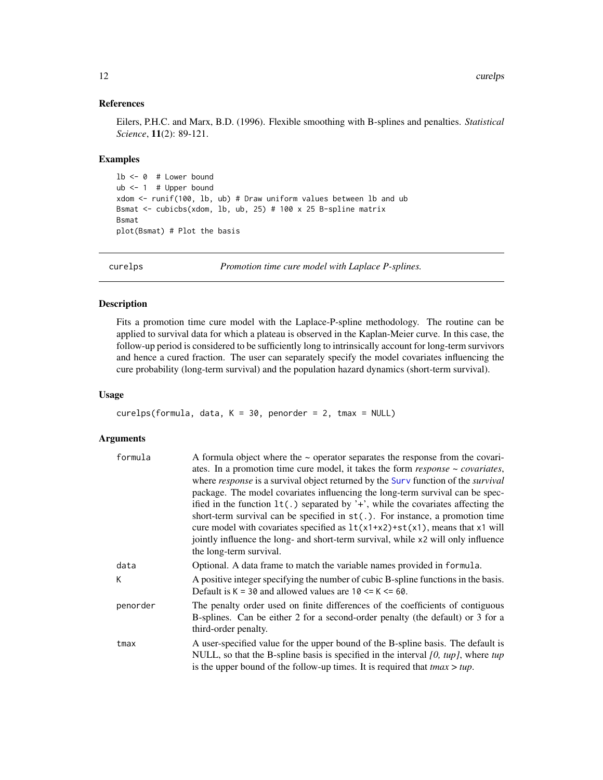#### References

Eilers, P.H.C. and Marx, B.D. (1996). Flexible smoothing with B-splines and penalties. *Statistical Science*, 11(2): 89-121.

#### Examples

```
1b \leq -\theta # Lower bound
ub < -1 # Upper bound
xdom <- runif(100, lb, ub) # Draw uniform values between lb and ub
Bsmat <- cubicbs(xdom, lb, ub, 25) # 100 x 25 B-spline matrix
Bsmat
plot(Bsmat) # Plot the basis
```
<span id="page-11-1"></span>curelps *Promotion time cure model with Laplace P-splines.*

#### Description

Fits a promotion time cure model with the Laplace-P-spline methodology. The routine can be applied to survival data for which a plateau is observed in the Kaplan-Meier curve. In this case, the follow-up period is considered to be sufficiently long to intrinsically account for long-term survivors and hence a cured fraction. The user can separately specify the model covariates influencing the cure probability (long-term survival) and the population hazard dynamics (short-term survival).

#### Usage

```
curelps(formula, data, K = 30, penorder = 2, tmax = NULL)
```

| formula  | A formula object where the $\sim$ operator separates the response from the covari-<br>ates. In a promotion time cure model, it takes the form $response \sim covariates$ ,<br>where response is a survival object returned by the Surv function of the survival<br>package. The model covariates influencing the long-term survival can be spec-<br>ified in the function $lt(.)$ separated by '+', while the covariates affecting the<br>short-term survival can be specified in $st(.)$ . For instance, a promotion time<br>cure model with covariates specified as $lt(x1+x2)+st(x1)$ , means that x1 will |
|----------|---------------------------------------------------------------------------------------------------------------------------------------------------------------------------------------------------------------------------------------------------------------------------------------------------------------------------------------------------------------------------------------------------------------------------------------------------------------------------------------------------------------------------------------------------------------------------------------------------------------|
|          | jointly influence the long- and short-term survival, while x2 will only influence<br>the long-term survival.                                                                                                                                                                                                                                                                                                                                                                                                                                                                                                  |
| data     | Optional. A data frame to match the variable names provided in formula.                                                                                                                                                                                                                                                                                                                                                                                                                                                                                                                                       |
| K        | A positive integer specifying the number of cubic B-spline functions in the basis.<br>Default is $K = 30$ and allowed values are $10 \le K \le 60$ .                                                                                                                                                                                                                                                                                                                                                                                                                                                          |
| penorder | The penalty order used on finite differences of the coefficients of contiguous<br>B-splines. Can be either 2 for a second-order penalty (the default) or 3 for a<br>third-order penalty.                                                                                                                                                                                                                                                                                                                                                                                                                      |
| tmax     | A user-specified value for the upper bound of the B-spline basis. The default is<br>NULL, so that the B-spline basis is specified in the interval $[0, tup]$ , where tup<br>is the upper bound of the follow-up times. It is required that $tmax > tup$ .                                                                                                                                                                                                                                                                                                                                                     |

<span id="page-11-0"></span>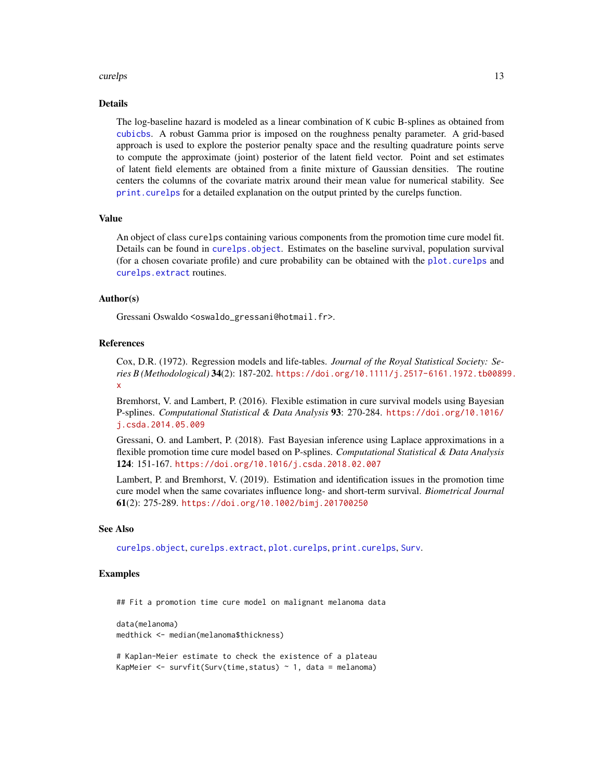#### <span id="page-12-0"></span>curelps that the contract of the contract of the contract of the contract of the contract of the contract of the contract of the contract of the contract of the contract of the contract of the contract of the contract of t

### Details

The log-baseline hazard is modeled as a linear combination of K cubic B-splines as obtained from [cubicbs](#page-10-1). A robust Gamma prior is imposed on the roughness penalty parameter. A grid-based approach is used to explore the posterior penalty space and the resulting quadrature points serve to compute the approximate (joint) posterior of the latent field vector. Point and set estimates of latent field elements are obtained from a finite mixture of Gaussian densities. The routine centers the columns of the covariate matrix around their mean value for numerical stability. See [print.curelps](#page-33-1) for a detailed explanation on the output printed by the curelps function.

#### Value

An object of class curelps containing various components from the promotion time cure model fit. Details can be found in [curelps.object](#page-15-1). Estimates on the baseline survival, population survival (for a chosen covariate profile) and cure probability can be obtained with the [plot.curelps](#page-28-1) and [curelps.extract](#page-13-1) routines.

#### Author(s)

Gressani Oswaldo <oswaldo\_gressani@hotmail.fr>.

#### References

Cox, D.R. (1972). Regression models and life-tables. *Journal of the Royal Statistical Society: Series B (Methodological)* 34(2): 187-202. [https://doi.org/10.1111/j.2517-6161.1972.tb0089](https://doi.org/10.1111/j.2517-6161.1972.tb00899.x)9. [x](https://doi.org/10.1111/j.2517-6161.1972.tb00899.x)

Bremhorst, V. and Lambert, P. (2016). Flexible estimation in cure survival models using Bayesian P-splines. *Computational Statistical & Data Analysis* 93: 270-284. [https://doi.org/10.1016/](https://doi.org/10.1016/j.csda.2014.05.009) [j.csda.2014.05.009](https://doi.org/10.1016/j.csda.2014.05.009)

Gressani, O. and Lambert, P. (2018). Fast Bayesian inference using Laplace approximations in a flexible promotion time cure model based on P-splines. *Computational Statistical & Data Analysis* 124: 151-167. <https://doi.org/10.1016/j.csda.2018.02.007>

Lambert, P. and Bremhorst, V. (2019). Estimation and identification issues in the promotion time cure model when the same covariates influence long- and short-term survival. *Biometrical Journal* 61(2): 275-289. <https://doi.org/10.1002/bimj.201700250>

#### See Also

[curelps.object](#page-15-1), [curelps.extract](#page-13-1), [plot.curelps](#page-28-1), [print.curelps](#page-33-1), [Surv](#page-0-0).

### Examples

## Fit a promotion time cure model on malignant melanoma data

data(melanoma) medthick <- median(melanoma\$thickness)

# Kaplan-Meier estimate to check the existence of a plateau KapMeier  $\leq$  survfit(Surv(time, status)  $\sim$  1, data = melanoma)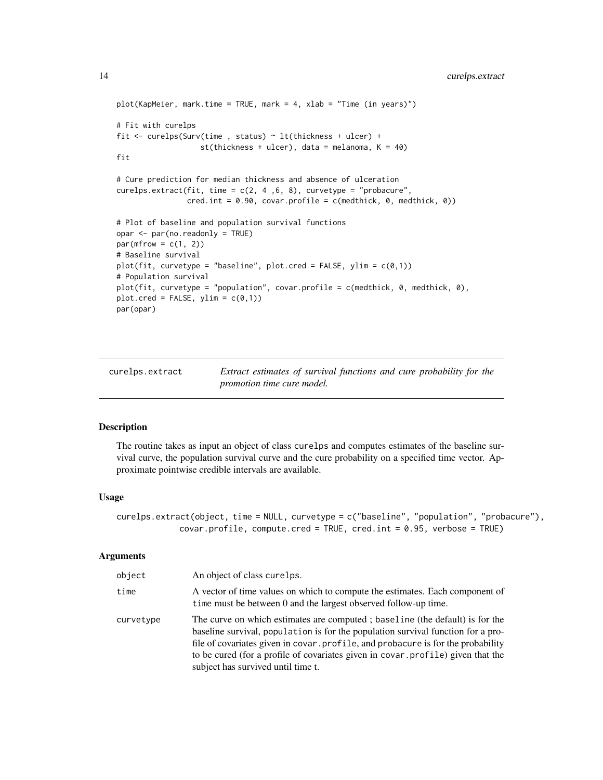```
plot(KapMeier, mark.time = TRUE, mark = 4, xlab = "Time (in years)")
# Fit with curelps
fit <- curelps(Surv(time , status) ~ lt(thickness + ulcer) +
                   st(thickness + ulcer), data = melanoma, K = 40)
fit
# Cure prediction for median thickness and absence of ulceration
curelps.extract(fit, time = c(2, 4, 6, 8), curvetype = "probacure",
                cred.int = 0.90, covar.profile = c(medthick, 0, medthick, 0))
# Plot of baseline and population survival functions
opar <- par(no.readonly = TRUE)
par(mfrow = c(1, 2))# Baseline survival
plot(fit, curvetype = "baseline", plot.cred = FALSE, ylim = c(0,1))
# Population survival
plot(fit, curvetype = "population", covar.profile = c(medthick, 0, medthick, 0),
plot.cred = FALSE, ylim = c(0,1))par(opar)
```
<span id="page-13-1"></span>curelps.extract *Extract estimates of survival functions and cure probability for the promotion time cure model.*

### Description

The routine takes as input an object of class curelps and computes estimates of the baseline survival curve, the population survival curve and the cure probability on a specified time vector. Approximate pointwise credible intervals are available.

#### Usage

```
curelps.extract(object, time = NULL, curvetype = c("baseline", "population", "probacure"),
             covar.profile, compute.cred = TRUE, cred.int = 0.95, verbose = TRUE)
```

| object    | An object of class curelps.                                                                                                                                                                                                                                                                                                                                                    |
|-----------|--------------------------------------------------------------------------------------------------------------------------------------------------------------------------------------------------------------------------------------------------------------------------------------------------------------------------------------------------------------------------------|
| time      | A vector of time values on which to compute the estimates. Each component of<br>time must be between 0 and the largest observed follow-up time.                                                                                                                                                                                                                                |
| curvetype | The curve on which estimates are computed; baseline (the default) is for the<br>baseline survival, population is for the population survival function for a pro-<br>file of covariates given in covar.profile, and probacure is for the probability<br>to be cured (for a profile of covariates given in covar . profile) given that the<br>subject has survived until time t. |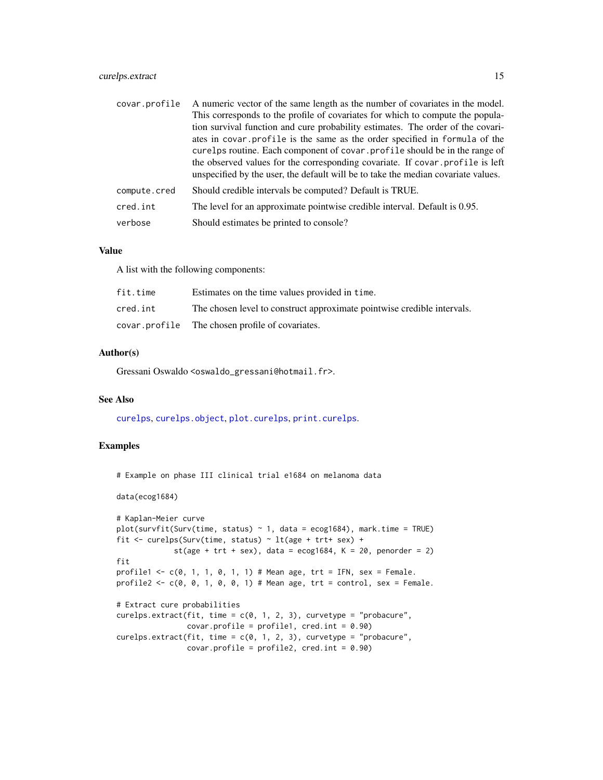### <span id="page-14-0"></span>curelps.extract 15

| covar.profile | A numeric vector of the same length as the number of covariates in the model.<br>This corresponds to the profile of covariates for which to compute the popula-                                                                                                                                                                                                                                                    |
|---------------|--------------------------------------------------------------------------------------------------------------------------------------------------------------------------------------------------------------------------------------------------------------------------------------------------------------------------------------------------------------------------------------------------------------------|
|               | tion survival function and cure probability estimates. The order of the covari-<br>ates in covar profile is the same as the order specified in formula of the<br>curelps routine. Each component of covar, profile should be in the range of<br>the observed values for the corresponding covariate. If covar profile is left<br>unspecified by the user, the default will be to take the median covariate values. |
| compute.cred  | Should credible intervals be computed? Default is TRUE.                                                                                                                                                                                                                                                                                                                                                            |
| cred.int      | The level for an approximate pointwise credible interval. Default is 0.95.                                                                                                                                                                                                                                                                                                                                         |
| verbose       | Should estimates be printed to console?                                                                                                                                                                                                                                                                                                                                                                            |
|               |                                                                                                                                                                                                                                                                                                                                                                                                                    |

### Value

A list with the following components:

| fit.time | Estimates on the time values provided in time.                          |
|----------|-------------------------------------------------------------------------|
| cred.int | The chosen level to construct approximate pointwise credible intervals. |
|          | covar.profile The chosen profile of covariates.                         |

#### Author(s)

Gressani Oswaldo <oswaldo\_gressani@hotmail.fr>.

#### See Also

[curelps](#page-11-1), [curelps.object](#page-15-1), [plot.curelps](#page-28-1), [print.curelps](#page-33-1).

### Examples

```
# Example on phase III clinical trial e1684 on melanoma data
data(ecog1684)
# Kaplan-Meier curve
plot(survfit(Surv(time, status) ~ 1, data = ecog1684), mark.time = TRUE)
fit <- curelps(Surv(time, status) ~ lt(age + trt+ sex) +
             st(age + trt + sex), data = ecog1684, K = 20, penorder = 2)
fit
profile1 <- c(0, 1, 1, 0, 1, 1) # Mean age, trt = IFN, sex = Female.
profile2 <- c(0, 0, 1, 0, 0, 1) # Mean age, trt = control, sex = Female.
# Extract cure probabilities
curelps.extract(fit, time = c(0, 1, 2, 3), curvetype = "probacure",
                covar.profile = profile1, cred.int = <math>0.90</math>)curelps.extract(fit, time = c(0, 1, 2, 3), curvetype = "probacure",
                covar.profile = profile2, cred.int = <math>0.90</math>)
```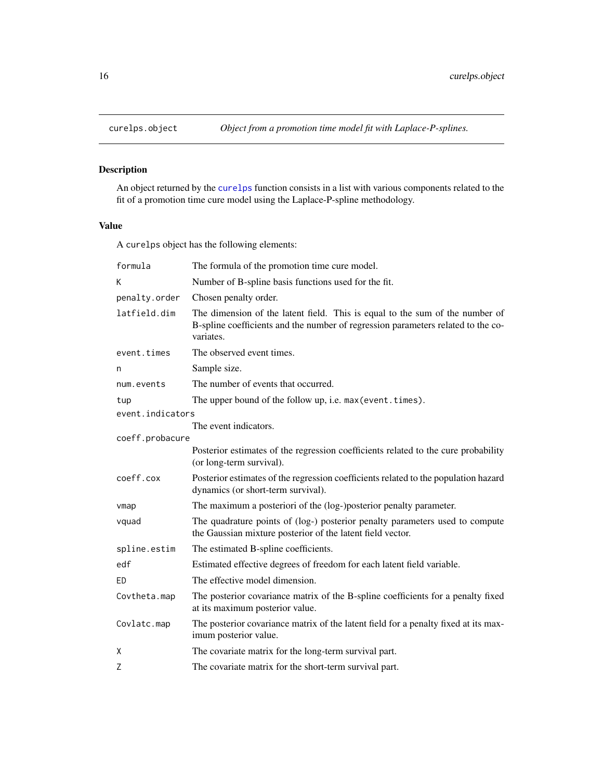<span id="page-15-1"></span><span id="page-15-0"></span>

### Description

An object returned by the [curelps](#page-11-1) function consists in a list with various components related to the fit of a promotion time cure model using the Laplace-P-spline methodology.

### Value

A curelps object has the following elements:

| formula          | The formula of the promotion time cure model.                                                                                                                                 |
|------------------|-------------------------------------------------------------------------------------------------------------------------------------------------------------------------------|
| Κ                | Number of B-spline basis functions used for the fit.                                                                                                                          |
| penalty.order    | Chosen penalty order.                                                                                                                                                         |
| latfield.dim     | The dimension of the latent field. This is equal to the sum of the number of<br>B-spline coefficients and the number of regression parameters related to the co-<br>variates. |
| event.times      | The observed event times.                                                                                                                                                     |
| n                | Sample size.                                                                                                                                                                  |
| num.events       | The number of events that occurred.                                                                                                                                           |
| tup              | The upper bound of the follow up, i.e. max (event.times).                                                                                                                     |
| event.indicators |                                                                                                                                                                               |
|                  | The event indicators.                                                                                                                                                         |
| coeff.probacure  |                                                                                                                                                                               |
|                  | Posterior estimates of the regression coefficients related to the cure probability<br>(or long-term survival).                                                                |
| coeff.cox        | Posterior estimates of the regression coefficients related to the population hazard<br>dynamics (or short-term survival).                                                     |
| vmap             | The maximum a posteriori of the (log-)posterior penalty parameter.                                                                                                            |
| vquad            | The quadrature points of (log-) posterior penalty parameters used to compute<br>the Gaussian mixture posterior of the latent field vector.                                    |
| spline.estim     | The estimated B-spline coefficients.                                                                                                                                          |
| edf              | Estimated effective degrees of freedom for each latent field variable.                                                                                                        |
| ED               | The effective model dimension.                                                                                                                                                |
| Covtheta.map     | The posterior covariance matrix of the B-spline coefficients for a penalty fixed<br>at its maximum posterior value.                                                           |
| Covlatc.map      | The posterior covariance matrix of the latent field for a penalty fixed at its max-<br>imum posterior value.                                                                  |
| X                | The covariate matrix for the long-term survival part.                                                                                                                         |
| Z                | The covariate matrix for the short-term survival part.                                                                                                                        |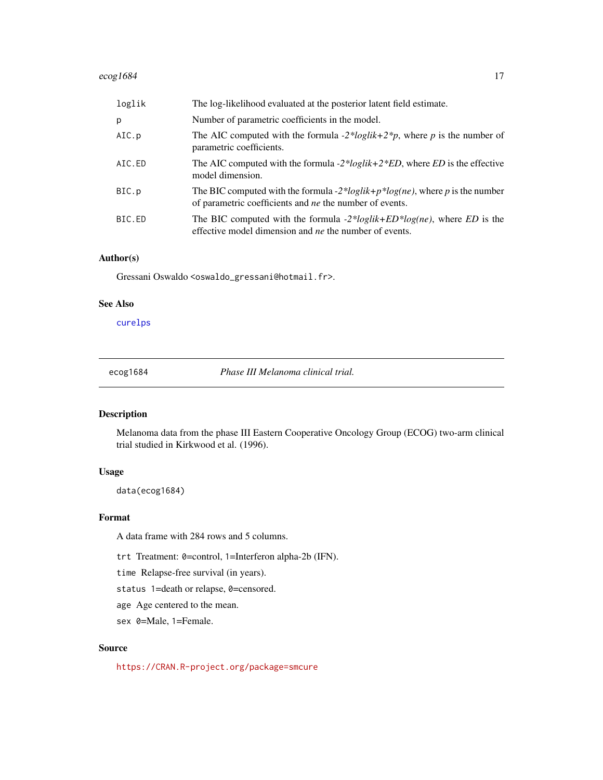#### <span id="page-16-0"></span> $e^{\cos 1684}$  17

| loglik | The log-likelihood evaluated at the posterior latent field estimate.                                                                                     |
|--------|----------------------------------------------------------------------------------------------------------------------------------------------------------|
| p      | Number of parametric coefficients in the model.                                                                                                          |
| AIC.p  | The AIC computed with the formula -2* <i>loglik</i> +2* <i>p</i> , where <i>p</i> is the number of<br>parametric coefficients.                           |
| AIC.ED | The AIC computed with the formula -2* <i>loglik</i> +2* <i>ED</i> , where <i>ED</i> is the effective<br>model dimension.                                 |
| BIC.p  | The BIC computed with the formula -2*loglik+p*log(ne), where p is the number<br>of parametric coefficients and <i>ne</i> the number of events.           |
| BIC.ED | The BIC computed with the formula $-2 * loglik + ED * log(ne)$ , where <i>ED</i> is the<br>effective model dimension and <i>ne</i> the number of events. |

### Author(s)

Gressani Oswaldo <oswaldo\_gressani@hotmail.fr>.

### See Also

[curelps](#page-11-1)

ecog1684 *Phase III Melanoma clinical trial.*

### Description

Melanoma data from the phase III Eastern Cooperative Oncology Group (ECOG) two-arm clinical trial studied in Kirkwood et al. (1996).

### Usage

data(ecog1684)

### Format

A data frame with 284 rows and 5 columns.

trt Treatment: 0=control, 1=Interferon alpha-2b (IFN).

time Relapse-free survival (in years).

status 1=death or relapse, 0=censored.

age Age centered to the mean.

sex 0=Male, 1=Female.

### Source

<https://CRAN.R-project.org/package=smcure>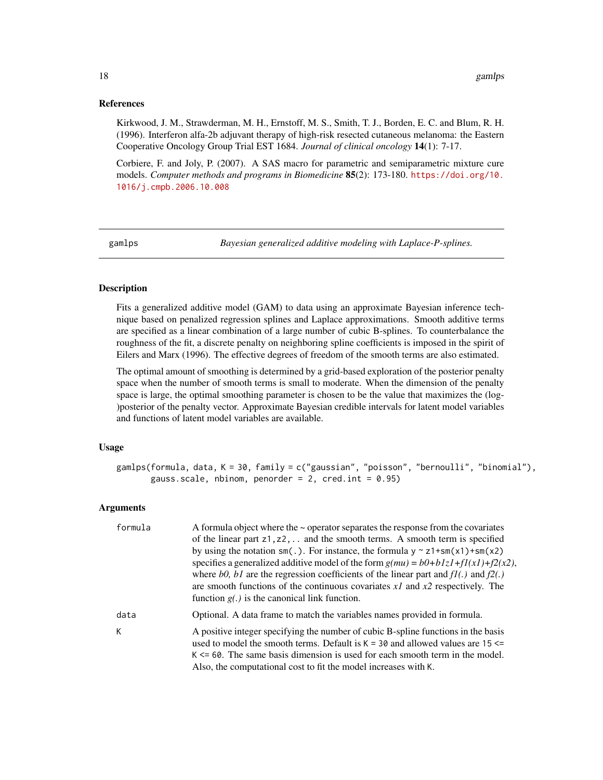#### <span id="page-17-0"></span>References

Kirkwood, J. M., Strawderman, M. H., Ernstoff, M. S., Smith, T. J., Borden, E. C. and Blum, R. H. (1996). Interferon alfa-2b adjuvant therapy of high-risk resected cutaneous melanoma: the Eastern Cooperative Oncology Group Trial EST 1684. *Journal of clinical oncology* 14(1): 7-17.

Corbiere, F. and Joly, P. (2007). A SAS macro for parametric and semiparametric mixture cure models. *Computer methods and programs in Biomedicine* 85(2): 173-180. [https://doi.org/10.](https://doi.org/10.1016/j.cmpb.2006.10.008) [1016/j.cmpb.2006.10.008](https://doi.org/10.1016/j.cmpb.2006.10.008)

<span id="page-17-1"></span>gamlps *Bayesian generalized additive modeling with Laplace-P-splines.*

### Description

Fits a generalized additive model (GAM) to data using an approximate Bayesian inference technique based on penalized regression splines and Laplace approximations. Smooth additive terms are specified as a linear combination of a large number of cubic B-splines. To counterbalance the roughness of the fit, a discrete penalty on neighboring spline coefficients is imposed in the spirit of Eilers and Marx (1996). The effective degrees of freedom of the smooth terms are also estimated.

The optimal amount of smoothing is determined by a grid-based exploration of the posterior penalty space when the number of smooth terms is small to moderate. When the dimension of the penalty space is large, the optimal smoothing parameter is chosen to be the value that maximizes the (log- )posterior of the penalty vector. Approximate Bayesian credible intervals for latent model variables and functions of latent model variables are available.

#### Usage

```
gamlps(formula, data, K = 30, family = c("gaussian", "poisson", "bernoulli", "binomial"),
       gauss.scale, nbinom, penorder = 2, cred.int = 0.95)
```

| formula | A formula object where the $\sim$ operator separates the response from the covariates<br>of the linear part $z1, z2, \ldots$ and the smooth terms. A smooth term is specified<br>by using the notation $sm(.)$ . For instance, the formula $y \sim z1 + sm(x1) + sm(x2)$<br>specifies a generalized additive model of the form $g(mu) = b0 + b1zI + fI(xI) + f2(x2)$ ,<br>where b0, b1 are the regression coefficients of the linear part and $f(1)$ and $f(2)$ .<br>are smooth functions of the continuous covariates $xI$ and $x2$ respectively. The<br>function $g(.)$ is the canonical link function. |
|---------|-----------------------------------------------------------------------------------------------------------------------------------------------------------------------------------------------------------------------------------------------------------------------------------------------------------------------------------------------------------------------------------------------------------------------------------------------------------------------------------------------------------------------------------------------------------------------------------------------------------|
| data    | Optional. A data frame to match the variables names provided in formula.                                                                                                                                                                                                                                                                                                                                                                                                                                                                                                                                  |
| К       | A positive integer specifying the number of cubic B-spline functions in the basis<br>used to model the smooth terms. Default is $K = 30$ and allowed values are 15 $\le$<br>$K \le 60$ . The same basis dimension is used for each smooth term in the model.<br>Also, the computational cost to fit the model increases with K.                                                                                                                                                                                                                                                                           |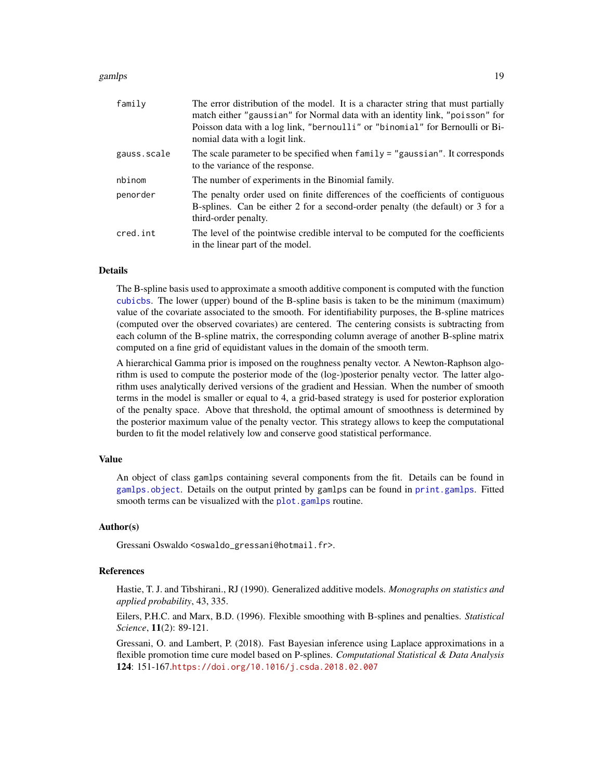#### <span id="page-18-0"></span>gamlps that the contract of the contract of the contract of the contract of the contract of the contract of the contract of the contract of the contract of the contract of the contract of the contract of the contract of th

| family      | The error distribution of the model. It is a character string that must partially<br>match either "gaussian" for Normal data with an identity link, "poisson" for                        |
|-------------|------------------------------------------------------------------------------------------------------------------------------------------------------------------------------------------|
|             | Poisson data with a log link, "bernoulli" or "binomial" for Bernoulli or Bi-<br>nomial data with a logit link.                                                                           |
| gauss.scale | The scale parameter to be specified when family = "gaussian". It corresponds<br>to the variance of the response.                                                                         |
| nbinom      | The number of experiments in the Binomial family.                                                                                                                                        |
| penorder    | The penalty order used on finite differences of the coefficients of contiguous<br>B-splines. Can be either 2 for a second-order penalty (the default) or 3 for a<br>third-order penalty. |
| cred.int    | The level of the pointwise credible interval to be computed for the coefficients<br>in the linear part of the model.                                                                     |

#### Details

The B-spline basis used to approximate a smooth additive component is computed with the function [cubicbs](#page-10-1). The lower (upper) bound of the B-spline basis is taken to be the minimum (maximum) value of the covariate associated to the smooth. For identifiability purposes, the B-spline matrices (computed over the observed covariates) are centered. The centering consists is subtracting from each column of the B-spline matrix, the corresponding column average of another B-spline matrix computed on a fine grid of equidistant values in the domain of the smooth term.

A hierarchical Gamma prior is imposed on the roughness penalty vector. A Newton-Raphson algorithm is used to compute the posterior mode of the (log-)posterior penalty vector. The latter algorithm uses analytically derived versions of the gradient and Hessian. When the number of smooth terms in the model is smaller or equal to 4, a grid-based strategy is used for posterior exploration of the penalty space. Above that threshold, the optimal amount of smoothness is determined by the posterior maximum value of the penalty vector. This strategy allows to keep the computational burden to fit the model relatively low and conserve good statistical performance.

#### Value

An object of class gamlps containing several components from the fit. Details can be found in [gamlps.object](#page-19-1). Details on the output printed by gamlps can be found in [print.gamlps](#page-33-2). Fitted smooth terms can be visualized with the **plot** gamlps routine.

#### Author(s)

Gressani Oswaldo <oswaldo\_gressani@hotmail.fr>.

### References

Hastie, T. J. and Tibshirani., RJ (1990). Generalized additive models. *Monographs on statistics and applied probability*, 43, 335.

Eilers, P.H.C. and Marx, B.D. (1996). Flexible smoothing with B-splines and penalties. *Statistical Science*, 11(2): 89-121.

Gressani, O. and Lambert, P. (2018). Fast Bayesian inference using Laplace approximations in a flexible promotion time cure model based on P-splines. *Computational Statistical & Data Analysis* 124: 151-167.<https://doi.org/10.1016/j.csda.2018.02.007>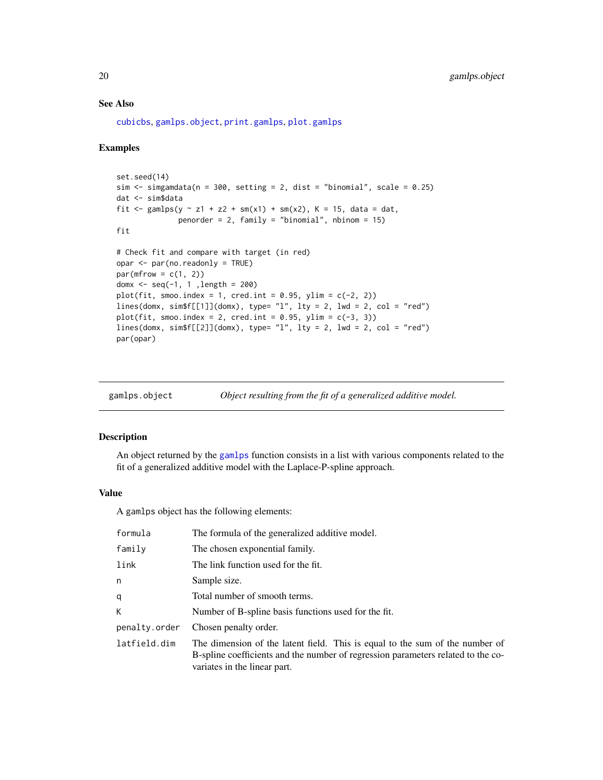### See Also

[cubicbs](#page-10-1), [gamlps.object](#page-19-1), [print.gamlps](#page-33-2), [plot.gamlps](#page-30-1)

#### Examples

```
set.seed(14)
sim \le simgamdata(n = 300, setting = 2, dist = "binomial", scale = 0.25)
dat <- sim$data
fit <- gamlps(y \sim z1 + z2 + sm(x1) + sm(x2), K = 15, data = dat,
              penorder = 2, family = "binomial", nbinom = 15)
fit
# Check fit and compare with target (in red)
opar <- par(no.readonly = TRUE)
par(mfrow = c(1, 2))domx <- seq(-1, 1 ,length = 200)
plot(fit, smoo.index = 1, cred.int = 0.95, ylim = c(-2, 2))
lines(domx, sim$f[[1]](domx), type= "l", lty = 2, lwd = 2, col = "red")
plot(fit, smoo.index = 2, cred.int = 0.95, ylim = c(-3, 3))
lines(domx, sim$f[[2]](domx), type= "l", lty = 2, lwd = 2, col = "red")
par(opar)
```
<span id="page-19-1"></span>

| gamlps.object | Object resulting from the fit of a generalized additive model. |  |
|---------------|----------------------------------------------------------------|--|
|---------------|----------------------------------------------------------------|--|

#### Description

An object returned by the [gamlps](#page-17-1) function consists in a list with various components related to the fit of a generalized additive model with the Laplace-P-spline approach.

### Value

A gamlps object has the following elements:

| formula       | The formula of the generalized additive model.                                                                                                                                                   |
|---------------|--------------------------------------------------------------------------------------------------------------------------------------------------------------------------------------------------|
| family        | The chosen exponential family.                                                                                                                                                                   |
| link          | The link function used for the fit.                                                                                                                                                              |
| n             | Sample size.                                                                                                                                                                                     |
| q             | Total number of smooth terms.                                                                                                                                                                    |
| К             | Number of B-spline basis functions used for the fit.                                                                                                                                             |
| penalty.order | Chosen penalty order.                                                                                                                                                                            |
| latfield.dim  | The dimension of the latent field. This is equal to the sum of the number of<br>B-spline coefficients and the number of regression parameters related to the co-<br>variates in the linear part. |

<span id="page-19-0"></span>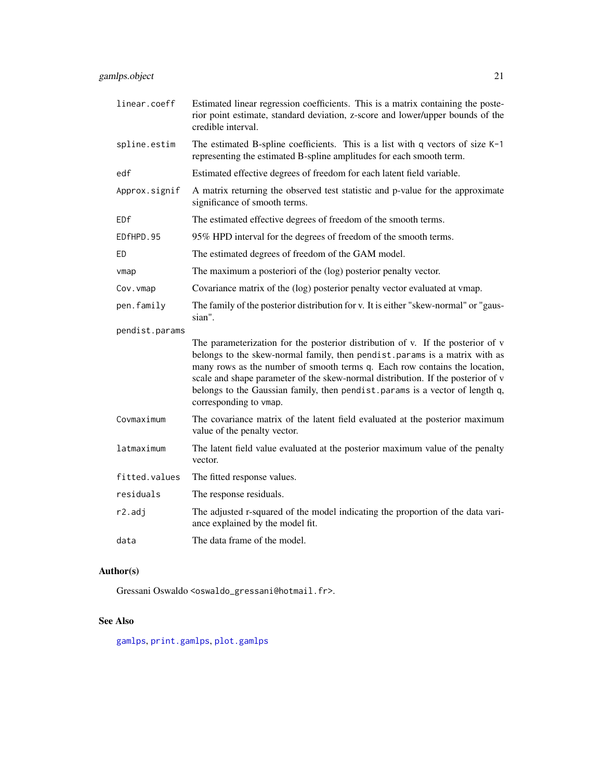<span id="page-20-0"></span>

| linear.coeff   | Estimated linear regression coefficients. This is a matrix containing the poste-<br>rior point estimate, standard deviation, z-score and lower/upper bounds of the<br>credible interval.                                                                                                                                                                                                                                                   |
|----------------|--------------------------------------------------------------------------------------------------------------------------------------------------------------------------------------------------------------------------------------------------------------------------------------------------------------------------------------------------------------------------------------------------------------------------------------------|
| spline.estim   | The estimated B-spline coefficients. This is a list with q vectors of size $K-1$<br>representing the estimated B-spline amplitudes for each smooth term.                                                                                                                                                                                                                                                                                   |
| edf            | Estimated effective degrees of freedom for each latent field variable.                                                                                                                                                                                                                                                                                                                                                                     |
| Approx.signif  | A matrix returning the observed test statistic and p-value for the approximate<br>significance of smooth terms.                                                                                                                                                                                                                                                                                                                            |
| EDf            | The estimated effective degrees of freedom of the smooth terms.                                                                                                                                                                                                                                                                                                                                                                            |
| EDfHPD.95      | 95% HPD interval for the degrees of freedom of the smooth terms.                                                                                                                                                                                                                                                                                                                                                                           |
| ED             | The estimated degrees of freedom of the GAM model.                                                                                                                                                                                                                                                                                                                                                                                         |
| vmap           | The maximum a posteriori of the (log) posterior penalty vector.                                                                                                                                                                                                                                                                                                                                                                            |
| Cov. vmap      | Covariance matrix of the (log) posterior penalty vector evaluated at vmap.                                                                                                                                                                                                                                                                                                                                                                 |
| pen.family     | The family of the posterior distribution for v. It is either "skew-normal" or "gaus-<br>sian".                                                                                                                                                                                                                                                                                                                                             |
| pendist.params |                                                                                                                                                                                                                                                                                                                                                                                                                                            |
|                | The parameterization for the posterior distribution of v. If the posterior of v<br>belongs to the skew-normal family, then pendist.params is a matrix with as<br>many rows as the number of smooth terms q. Each row contains the location,<br>scale and shape parameter of the skew-normal distribution. If the posterior of v<br>belongs to the Gaussian family, then pendist. params is a vector of length q,<br>corresponding to vmap. |
| Covmaximum     | The covariance matrix of the latent field evaluated at the posterior maximum<br>value of the penalty vector.                                                                                                                                                                                                                                                                                                                               |
| latmaximum     | The latent field value evaluated at the posterior maximum value of the penalty<br>vector.                                                                                                                                                                                                                                                                                                                                                  |
| fitted.values  | The fitted response values.                                                                                                                                                                                                                                                                                                                                                                                                                |
| residuals      | The response residuals.                                                                                                                                                                                                                                                                                                                                                                                                                    |
| r2.adj         | The adjusted r-squared of the model indicating the proportion of the data vari-<br>ance explained by the model fit.                                                                                                                                                                                                                                                                                                                        |
| data           | The data frame of the model.                                                                                                                                                                                                                                                                                                                                                                                                               |

### Author(s)

Gressani Oswaldo <oswaldo\_gressani@hotmail.fr>.

### See Also

[gamlps](#page-17-1), [print.gamlps](#page-33-2), [plot.gamlps](#page-30-1)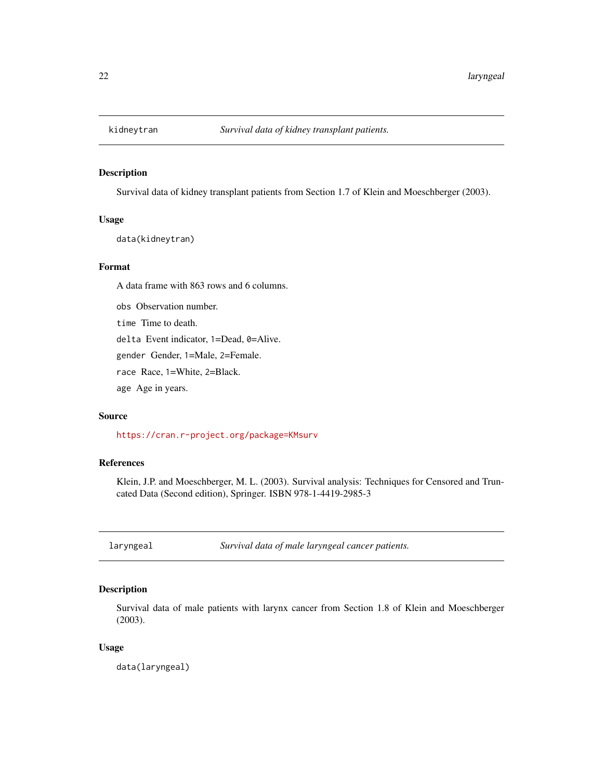<span id="page-21-0"></span>

### Description

Survival data of kidney transplant patients from Section 1.7 of Klein and Moeschberger (2003).

#### Usage

data(kidneytran)

### Format

A data frame with 863 rows and 6 columns.

obs Observation number.

time Time to death.

delta Event indicator, 1=Dead, 0=Alive.

gender Gender, 1=Male, 2=Female.

race Race, 1=White, 2=Black.

age Age in years.

### Source

<https://cran.r-project.org/package=KMsurv>

### References

Klein, J.P. and Moeschberger, M. L. (2003). Survival analysis: Techniques for Censored and Truncated Data (Second edition), Springer. ISBN 978-1-4419-2985-3

laryngeal *Survival data of male laryngeal cancer patients.*

### Description

Survival data of male patients with larynx cancer from Section 1.8 of Klein and Moeschberger (2003).

#### Usage

data(laryngeal)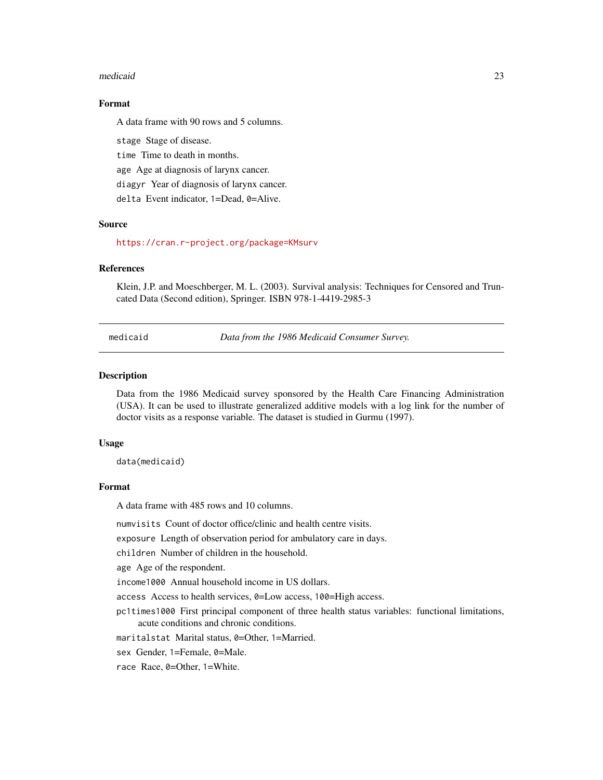#### <span id="page-22-0"></span>medicaid 23

#### Format

A data frame with 90 rows and 5 columns.

stage Stage of disease.

time Time to death in months.

age Age at diagnosis of larynx cancer.

diagyr Year of diagnosis of larynx cancer.

delta Event indicator, 1=Dead, 0=Alive.

#### Source

<https://cran.r-project.org/package=KMsurv>

#### **References**

Klein, J.P. and Moeschberger, M. L. (2003). Survival analysis: Techniques for Censored and Truncated Data (Second edition), Springer. ISBN 978-1-4419-2985-3

medicaid *Data from the 1986 Medicaid Consumer Survey.*

#### Description

Data from the 1986 Medicaid survey sponsored by the Health Care Financing Administration (USA). It can be used to illustrate generalized additive models with a log link for the number of doctor visits as a response variable. The dataset is studied in Gurmu (1997).

#### Usage

data(medicaid)

### Format

A data frame with 485 rows and 10 columns.

numvisits Count of doctor office/clinic and health centre visits.

exposure Length of observation period for ambulatory care in days.

children Number of children in the household.

age Age of the respondent.

income1000 Annual household income in US dollars.

access Access to health services, 0=Low access, 100=High access.

pc1times1000 First principal component of three health status variables: functional limitations, acute conditions and chronic conditions.

maritalstat Marital status, 0=Other, 1=Married.

sex Gender, 1=Female, 0=Male.

race Race, 0=Other, 1=White.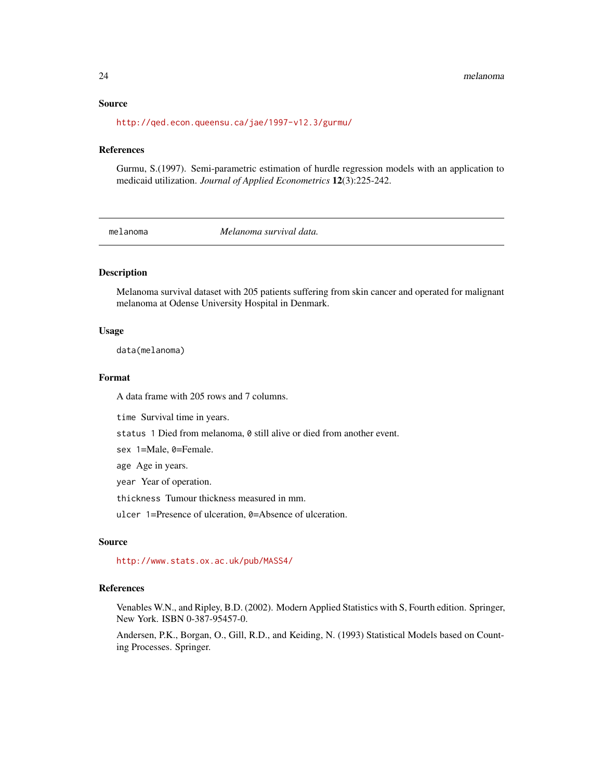#### Source

<http://qed.econ.queensu.ca/jae/1997-v12.3/gurmu/>

#### References

Gurmu, S.(1997). Semi-parametric estimation of hurdle regression models with an application to medicaid utilization. *Journal of Applied Econometrics* 12(3):225-242.

melanoma *Melanoma survival data.*

#### Description

Melanoma survival dataset with 205 patients suffering from skin cancer and operated for malignant melanoma at Odense University Hospital in Denmark.

#### Usage

data(melanoma)

#### Format

A data frame with 205 rows and 7 columns.

time Survival time in years.

status 1 Died from melanoma, 0 still alive or died from another event.

sex 1=Male, 0=Female.

age Age in years.

year Year of operation.

thickness Tumour thickness measured in mm.

ulcer 1=Presence of ulceration, 0=Absence of ulceration.

### Source

<http://www.stats.ox.ac.uk/pub/MASS4/>

### References

Venables W.N., and Ripley, B.D. (2002). Modern Applied Statistics with S, Fourth edition. Springer, New York. ISBN 0-387-95457-0.

Andersen, P.K., Borgan, O., Gill, R.D., and Keiding, N. (1993) Statistical Models based on Counting Processes. Springer.

<span id="page-23-0"></span>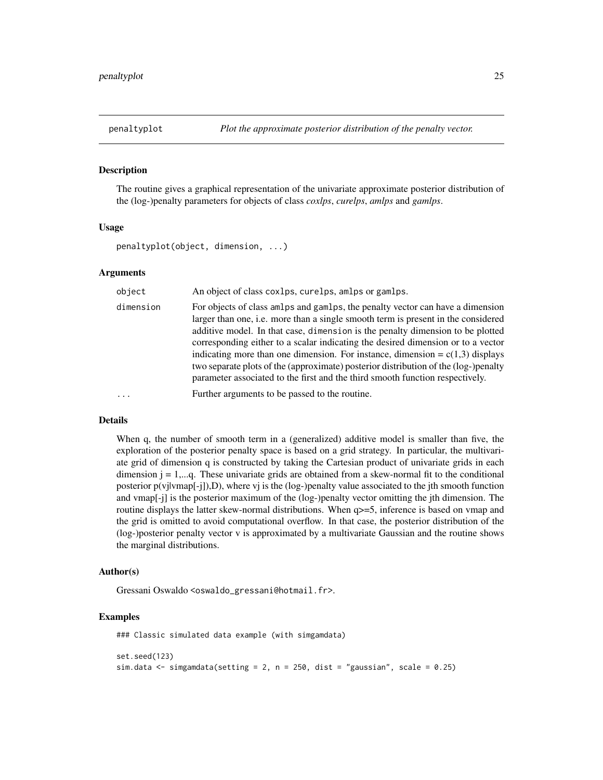<span id="page-24-0"></span>

#### Description

The routine gives a graphical representation of the univariate approximate posterior distribution of the (log-)penalty parameters for objects of class *coxlps*, *curelps*, *amlps* and *gamlps*.

#### Usage

penaltyplot(object, dimension, ...)

#### Arguments

| object    | An object of class coxlps, curelps, amlps or gamlps.                                                                                                                                                                                                                                                                                                                                                                                                                                                                                                                                                 |
|-----------|------------------------------------------------------------------------------------------------------------------------------------------------------------------------------------------------------------------------------------------------------------------------------------------------------------------------------------------------------------------------------------------------------------------------------------------------------------------------------------------------------------------------------------------------------------------------------------------------------|
| dimension | For objects of class amplys and gamps, the penalty vector can have a dimension<br>larger than one, i.e. more than a single smooth term is present in the considered<br>additive model. In that case, dimension is the penalty dimension to be plotted<br>corresponding either to a scalar indicating the desired dimension or to a vector<br>indicating more than one dimension. For instance, dimension = $c(1,3)$ displays<br>two separate plots of the (approximate) posterior distribution of the (log-)penalty<br>parameter associated to the first and the third smooth function respectively. |
| .         | Further arguments to be passed to the routine.                                                                                                                                                                                                                                                                                                                                                                                                                                                                                                                                                       |

#### Details

When q, the number of smooth term in a (generalized) additive model is smaller than five, the exploration of the posterior penalty space is based on a grid strategy. In particular, the multivariate grid of dimension q is constructed by taking the Cartesian product of univariate grids in each dimension  $j = 1, \dots, q$ . These univariate grids are obtained from a skew-normal fit to the conditional posterior p(vjlvmap[-j]),D), where vj is the (log-)penalty value associated to the jth smooth function and vmap[-j] is the posterior maximum of the (log-)penalty vector omitting the jth dimension. The routine displays the latter skew-normal distributions. When q>=5, inference is based on vmap and the grid is omitted to avoid computational overflow. In that case, the posterior distribution of the (log-)posterior penalty vector v is approximated by a multivariate Gaussian and the routine shows the marginal distributions.

#### Author(s)

Gressani Oswaldo <oswaldo\_gressani@hotmail.fr>.

#### Examples

```
### Classic simulated data example (with simgamdata)
set.seed(123)
sim.data <- simgamdata(setting = 2, n = 250, dist = "gaussian", scale = 0.25)
```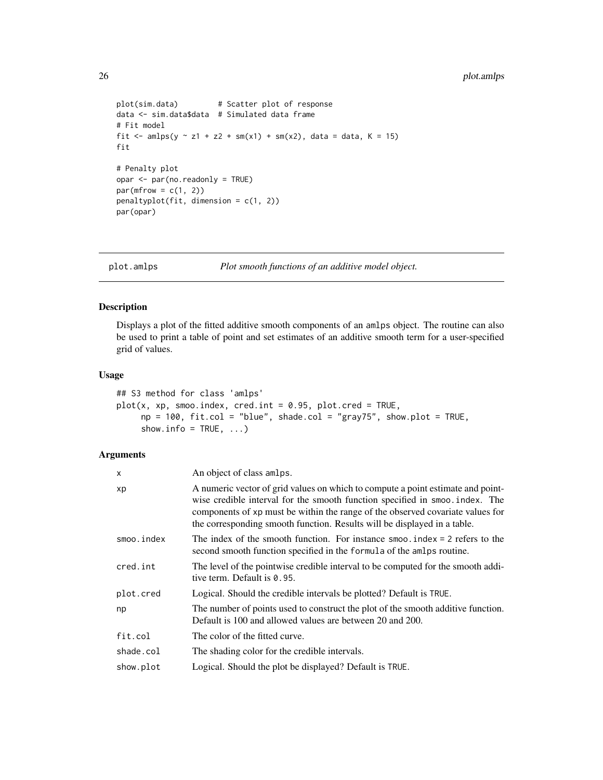```
plot(sim.data) # Scatter plot of response
data <- sim.data$data # Simulated data frame
# Fit model
fit \le - amlps(y \le z1 + z2 + sm(x1) + sm(x2), data = data, K = 15)
fit
# Penalty plot
opar <- par(no.readonly = TRUE)
par(mfrow = c(1, 2))penaltyplot(fit, dimension = c(1, 2))
par(opar)
```
<span id="page-25-1"></span>plot.amlps *Plot smooth functions of an additive model object.*

#### Description

Displays a plot of the fitted additive smooth components of an amlps object. The routine can also be used to print a table of point and set estimates of an additive smooth term for a user-specified grid of values.

### Usage

```
## S3 method for class 'amlps'
plot(x, xp, smooth, check, credit = 0.95, plot. cred = TRUE,np = 100, fit.col = "blue", shade.col = "gray75", show.plot = TRUE,
     show.info = TRUE, ...)
```

| x          | An object of class amlps.                                                                                                                                                                                                                                                                                                     |
|------------|-------------------------------------------------------------------------------------------------------------------------------------------------------------------------------------------------------------------------------------------------------------------------------------------------------------------------------|
| хp         | A numeric vector of grid values on which to compute a point estimate and point-<br>wise credible interval for the smooth function specified in smoo. index. The<br>components of xp must be within the range of the observed covariate values for<br>the corresponding smooth function. Results will be displayed in a table. |
| smoo.index | The index of the smooth function. For instance smoo, index $= 2$ refers to the<br>second smooth function specified in the formula of the amlps routine.                                                                                                                                                                       |
| cred.int   | The level of the pointwise credible interval to be computed for the smooth addi-<br>tive term. Default is 0.95.                                                                                                                                                                                                               |
| plot.cred  | Logical. Should the credible intervals be plotted? Default is TRUE.                                                                                                                                                                                                                                                           |
| np         | The number of points used to construct the plot of the smooth additive function.<br>Default is 100 and allowed values are between 20 and 200.                                                                                                                                                                                 |
| fit.col    | The color of the fitted curve.                                                                                                                                                                                                                                                                                                |
| shade.col  | The shading color for the credible intervals.                                                                                                                                                                                                                                                                                 |
| show.plot  | Logical. Should the plot be displayed? Default is TRUE.                                                                                                                                                                                                                                                                       |

<span id="page-25-0"></span>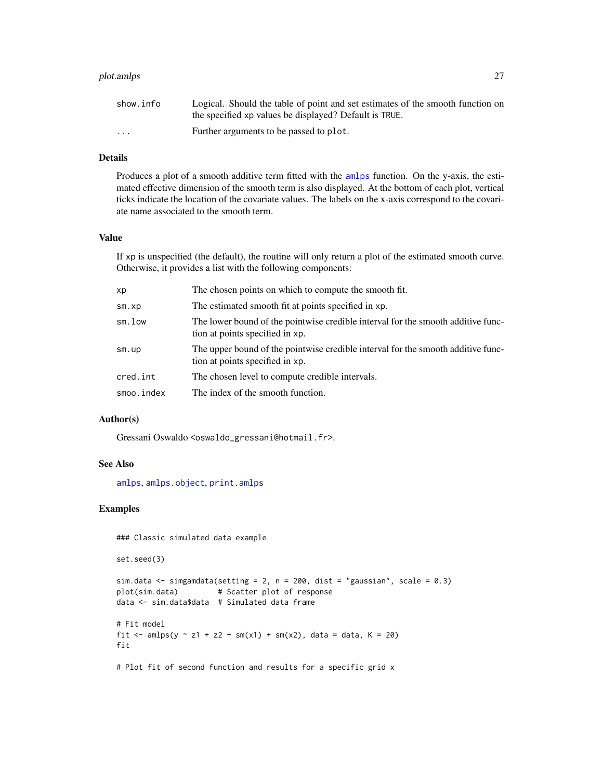### <span id="page-26-0"></span>plot.amlps 27

| show.info | Logical. Should the table of point and set estimates of the smooth function on |
|-----------|--------------------------------------------------------------------------------|
|           | the specified xp values be displayed? Default is TRUE.                         |
| $\cdots$  | Further arguments to be passed to plot.                                        |

### Details

Produces a plot of a smooth additive term fitted with the [amlps](#page-1-1) function. On the y-axis, the estimated effective dimension of the smooth term is also displayed. At the bottom of each plot, vertical ticks indicate the location of the covariate values. The labels on the x-axis correspond to the covariate name associated to the smooth term.

### Value

If xp is unspecified (the default), the routine will only return a plot of the estimated smooth curve. Otherwise, it provides a list with the following components:

| хp         | The chosen points on which to compute the smooth fit.                                                               |
|------------|---------------------------------------------------------------------------------------------------------------------|
| sm.xp      | The estimated smooth fit at points specified in xp.                                                                 |
| sm.low     | The lower bound of the pointwise credible interval for the smooth additive func-<br>tion at points specified in xp. |
| sm.up      | The upper bound of the pointwise credible interval for the smooth additive func-<br>tion at points specified in xp. |
| cred.int   | The chosen level to compute credible intervals.                                                                     |
| smoo.index | The index of the smooth function.                                                                                   |

### Author(s)

Gressani Oswaldo <oswaldo\_gressani@hotmail.fr>.

### See Also

[amlps](#page-1-1), [amlps.object](#page-3-1), [print.amlps](#page-31-1)

#### Examples

### Classic simulated data example

set.seed(3)

```
sim.data \le simgamdata(setting = 2, n = 200, dist = "gaussian", scale = 0.3)
plot(sim.data) # Scatter plot of response
data <- sim.data$data # Simulated data frame
# Fit model
fit <- amlps(y \sim z1 + z2 + sm(x1) + sm(x2), data = data, K = 20)
fit
```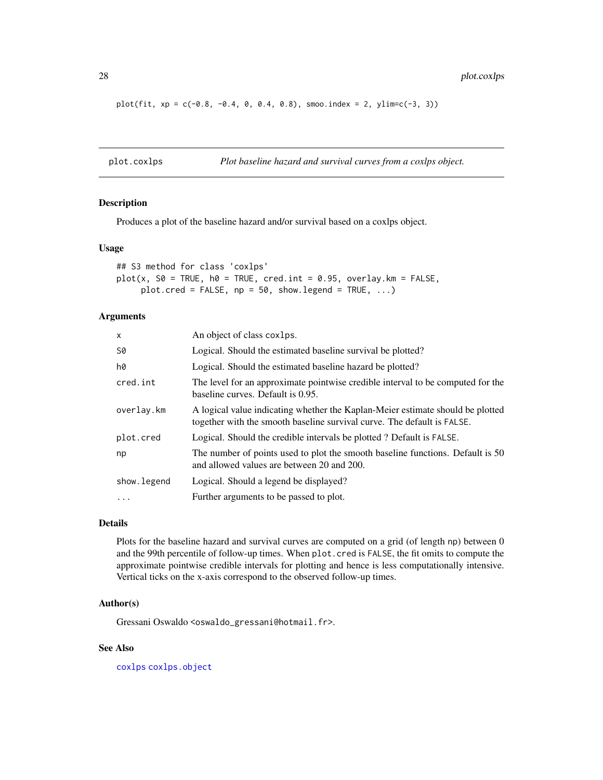plot(fit,  $xp = c(-0.8, -0.4, 0, 0.4, 0.8)$ , smoo.index = 2, ylim=c(-3, 3))

<span id="page-27-1"></span>plot.coxlps *Plot baseline hazard and survival curves from a coxlps object.*

#### Description

Produces a plot of the baseline hazard and/or survival based on a coxlps object.

### Usage

```
## S3 method for class 'coxlps'
plot(x, S0 = TRUE, h0 = TRUE, cred.int = 0.95, overlap.km = FALSE,plot.cred = FALSE, np = 50, show. legend = TRUE, ...
```
#### Arguments

| $\mathsf{x}$ | An object of class coxlps.                                                                                                                                |
|--------------|-----------------------------------------------------------------------------------------------------------------------------------------------------------|
| S0           | Logical. Should the estimated baseline survival be plotted?                                                                                               |
| h0           | Logical. Should the estimated baseline hazard be plotted?                                                                                                 |
| cred.int     | The level for an approximate pointwise credible interval to be computed for the<br>baseline curves. Default is 0.95.                                      |
| overlay.km   | A logical value indicating whether the Kaplan-Meier estimate should be plotted<br>together with the smooth baseline survival curve. The default is FALSE. |
| plot.cred    | Logical. Should the credible intervals be plotted? Default is FALSE.                                                                                      |
| np           | The number of points used to plot the smooth baseline functions. Default is 50<br>and allowed values are between 20 and 200.                              |
| show. legend | Logical. Should a legend be displayed?                                                                                                                    |
| $\ddotsc$    | Further arguments to be passed to plot.                                                                                                                   |

### Details

Plots for the baseline hazard and survival curves are computed on a grid (of length np) between 0 and the 99th percentile of follow-up times. When plot.cred is FALSE, the fit omits to compute the approximate pointwise credible intervals for plotting and hence is less computationally intensive. Vertical ticks on the x-axis correspond to the observed follow-up times.

#### Author(s)

Gressani Oswaldo <oswaldo\_gressani@hotmail.fr>.

### See Also

[coxlps](#page-5-1) [coxlps.object](#page-8-1)

<span id="page-27-0"></span>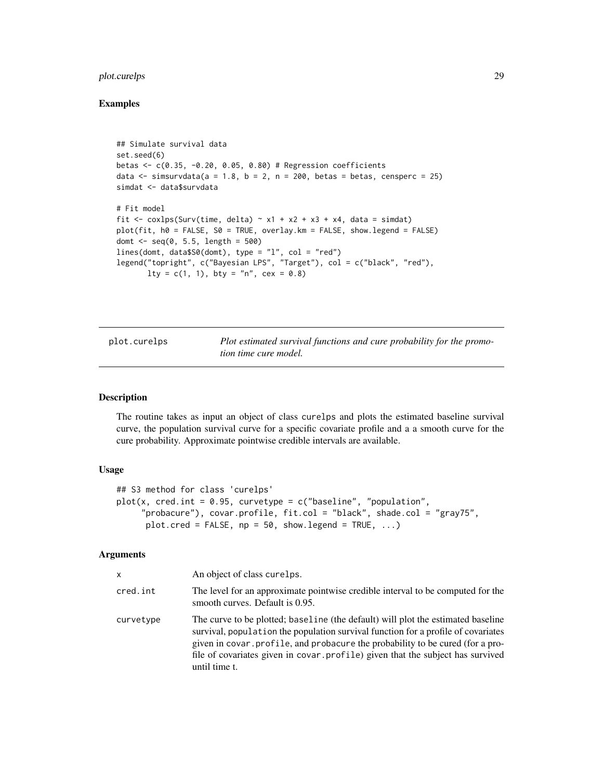### <span id="page-28-0"></span>plot.curelps 29

### Examples

```
## Simulate survival data
set.seed(6)
betas <- c(0.35, -0.20, 0.05, 0.80) # Regression coefficients
data \le simsurvdata(a = 1.8, b = 2, n = 200, betas = betas, censperc = 25)
simdat <- data$survdata
# Fit model
fit <- coxlps(Surv(time, delta) \sim x1 + x2 + x3 + x4, data = simdat)
plot(fit, h0 = FALSE, S0 = TRUE, overlay.km = FALSE, show.legend = FALSE)
domt \leq - seq(0, 5.5, length = 500)
lines(domt, data$S0(domt), type = "l", col = "red")legend("topright", c("Bayesian LPS", "Target"), col = c("black", "red"),
       lty = c(1, 1), bty = "n", cex = 0.8)
```
<span id="page-28-1"></span>plot.curelps *Plot estimated survival functions and cure probability for the promotion time cure model.*

#### Description

The routine takes as input an object of class curelps and plots the estimated baseline survival curve, the population survival curve for a specific covariate profile and a a smooth curve for the cure probability. Approximate pointwise credible intervals are available.

#### Usage

```
## S3 method for class 'curelps'
plot(x, credit, = 0.95, curvetype = c("baseline", "population","probacure"), covar.profile, fit.col = "black", shade.col = "gray75",
     plot.cred = FALSE, np = 50, show.legend = TRUE, \dots)
```

| x         | An object of class curelps.                                                                                                                                                                                                                                                                                                                                |
|-----------|------------------------------------------------------------------------------------------------------------------------------------------------------------------------------------------------------------------------------------------------------------------------------------------------------------------------------------------------------------|
| cred.int  | The level for an approximate pointwise credible interval to be computed for the<br>smooth curves. Default is 0.95.                                                                                                                                                                                                                                         |
| curvetype | The curve to be plotted; baseline (the default) will plot the estimated baseline<br>survival, population the population survival function for a profile of covariates<br>given in covar. profile, and probacure the probability to be cured (for a pro-<br>file of covariates given in covar.profile) given that the subject has survived<br>until time t. |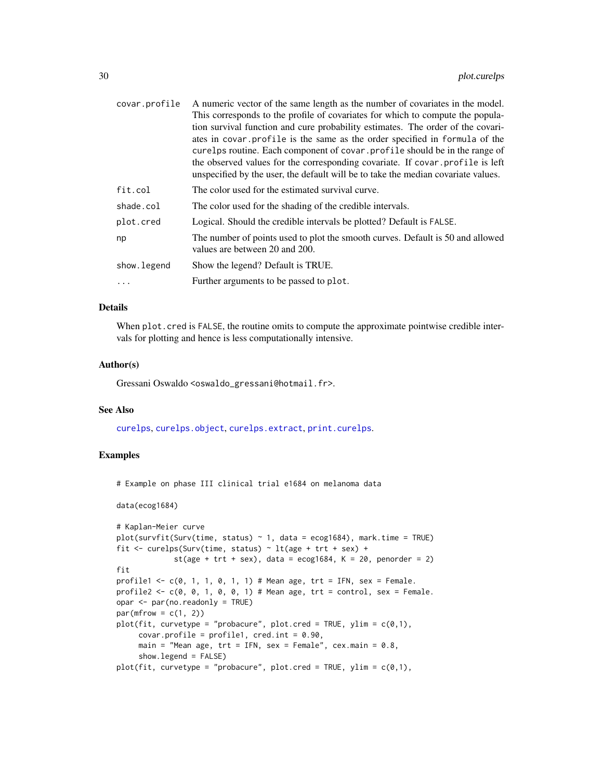<span id="page-29-0"></span>

| A numeric vector of the same length as the number of covariates in the model.                                                                                      |
|--------------------------------------------------------------------------------------------------------------------------------------------------------------------|
| This corresponds to the profile of covariates for which to compute the popula-                                                                                     |
| tion survival function and cure probability estimates. The order of the covari-                                                                                    |
| ates in covar. profile is the same as the order specified in formula of the                                                                                        |
| curelps routine. Each component of covar profile should be in the range of                                                                                         |
| the observed values for the corresponding covariate. If covar profile is left<br>unspecified by the user, the default will be to take the median covariate values. |
| The color used for the estimated survival curve.                                                                                                                   |
| The color used for the shading of the credible intervals.                                                                                                          |
| Logical. Should the credible intervals be plotted? Default is FALSE.                                                                                               |
| The number of points used to plot the smooth curves. Default is 50 and allowed<br>values are between 20 and 200.                                                   |
| Show the legend? Default is TRUE.                                                                                                                                  |
| Further arguments to be passed to plot.                                                                                                                            |
|                                                                                                                                                                    |

### Details

When plot.cred is FALSE, the routine omits to compute the approximate pointwise credible intervals for plotting and hence is less computationally intensive.

#### Author(s)

Gressani Oswaldo <oswaldo\_gressani@hotmail.fr>.

#### See Also

[curelps](#page-11-1), [curelps.object](#page-15-1), [curelps.extract](#page-13-1), [print.curelps](#page-33-1).

#### Examples

# Example on phase III clinical trial e1684 on melanoma data

data(ecog1684)

```
# Kaplan-Meier curve
plot(survfit(Surv(time, status) \sim 1, data = ecog1684), mark.time = TRUE)
fit \le curelps(Surv(time, status) \sim lt(age + trt + sex) +
             st(age + trt + sex), data = ecog1684, K = 20, penorder = 2)
fit
profile1 <- c(0, 1, 1, 0, 1, 1) # Mean age, trt = IFN, sex = Female.
profile2 <- c(0, 0, 1, 0, 0, 1) # Mean age, trt = control, sex = Female.
opar <- par(no.readonly = TRUE)
par(mfrow = c(1, 2))plot(fit, curvetype = "probacure", plot.cred = TRUE, ylim = c(0,1),
     covar.profile = profile1, cred.int = 0.90,main = "Mean age, trt = IFN, sex = Female", cex.main = 0.8,
     show.legend = FALSE)
plot(fit, curvetype = "probacure", plot.cred = TRUE, ylim = c(0,1),
```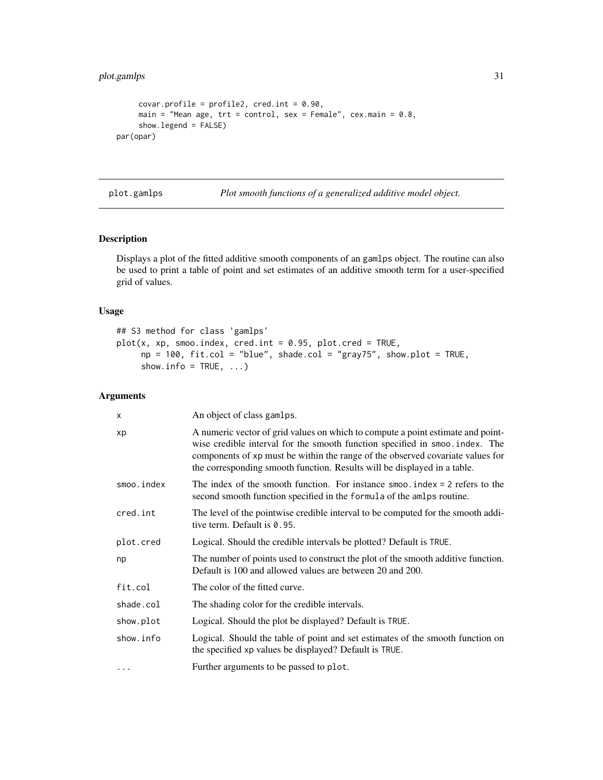```
covar.profile = profile2, cred.int = 0.90,main = "Mean age, trt = control, sex = Female", cex.main = 0.8,
     show.legend = FALSE)
par(opar)
```
<span id="page-30-1"></span>plot.gamlps *Plot smooth functions of a generalized additive model object.*

### Description

Displays a plot of the fitted additive smooth components of an gamlps object. The routine can also be used to print a table of point and set estimates of an additive smooth term for a user-specified grid of values.

#### Usage

## S3 method for class 'gamlps'  $plot(x, xp, smoo.index, cred.int = 0.95, plot.cred = TRUE,$  $np = 100$ , fit.col = "blue", shade.col = "gray75", show.plot = TRUE, show.info =  $TRUE$ , ...)

| X          | An object of class gamlps.                                                                                                                                                                                                                                                                                                    |
|------------|-------------------------------------------------------------------------------------------------------------------------------------------------------------------------------------------------------------------------------------------------------------------------------------------------------------------------------|
| хp         | A numeric vector of grid values on which to compute a point estimate and point-<br>wise credible interval for the smooth function specified in smoo. index. The<br>components of xp must be within the range of the observed covariate values for<br>the corresponding smooth function. Results will be displayed in a table. |
| smoo.index | The index of the smooth function. For instance $\text{smoo}$ index = 2 refers to the<br>second smooth function specified in the formula of the amlps routine.                                                                                                                                                                 |
| cred.int   | The level of the pointwise credible interval to be computed for the smooth addi-<br>tive term. Default is 0.95.                                                                                                                                                                                                               |
| plot.cred  | Logical. Should the credible intervals be plotted? Default is TRUE.                                                                                                                                                                                                                                                           |
| np         | The number of points used to construct the plot of the smooth additive function.<br>Default is 100 and allowed values are between 20 and 200.                                                                                                                                                                                 |
| fit.col    | The color of the fitted curve.                                                                                                                                                                                                                                                                                                |
| shade.col  | The shading color for the credible intervals.                                                                                                                                                                                                                                                                                 |
| show.plot  | Logical. Should the plot be displayed? Default is TRUE.                                                                                                                                                                                                                                                                       |
| show.info  | Logical. Should the table of point and set estimates of the smooth function on<br>the specified xp values be displayed? Default is TRUE.                                                                                                                                                                                      |
| $\cdots$   | Further arguments to be passed to plot.                                                                                                                                                                                                                                                                                       |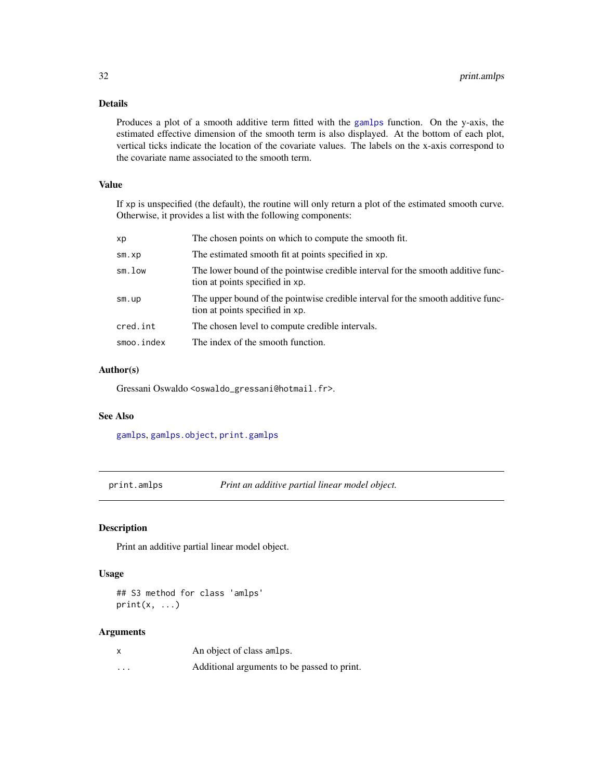### <span id="page-31-0"></span>Details

Produces a plot of a smooth additive term fitted with the [gamlps](#page-17-1) function. On the y-axis, the estimated effective dimension of the smooth term is also displayed. At the bottom of each plot, vertical ticks indicate the location of the covariate values. The labels on the x-axis correspond to the covariate name associated to the smooth term.

### Value

If xp is unspecified (the default), the routine will only return a plot of the estimated smooth curve. Otherwise, it provides a list with the following components:

| хp          | The chosen points on which to compute the smooth fit.                                                               |
|-------------|---------------------------------------------------------------------------------------------------------------------|
| $sm$ . $xp$ | The estimated smooth fit at points specified in xp.                                                                 |
| sm.low      | The lower bound of the pointwise credible interval for the smooth additive func-<br>tion at points specified in xp. |
| sm.up       | The upper bound of the pointwise credible interval for the smooth additive func-<br>tion at points specified in xp. |
| cred.int    | The chosen level to compute credible intervals.                                                                     |
| smoo.index  | The index of the smooth function.                                                                                   |

### Author(s)

Gressani Oswaldo <oswaldo\_gressani@hotmail.fr>.

#### See Also

[gamlps](#page-17-1), [gamlps.object](#page-19-1), [print.gamlps](#page-33-2)

<span id="page-31-1"></span>print.amlps *Print an additive partial linear model object.*

### Description

Print an additive partial linear model object.

### Usage

## S3 method for class 'amlps'  $print(x, \ldots)$ 

| X | An object of class amlps.                   |
|---|---------------------------------------------|
| . | Additional arguments to be passed to print. |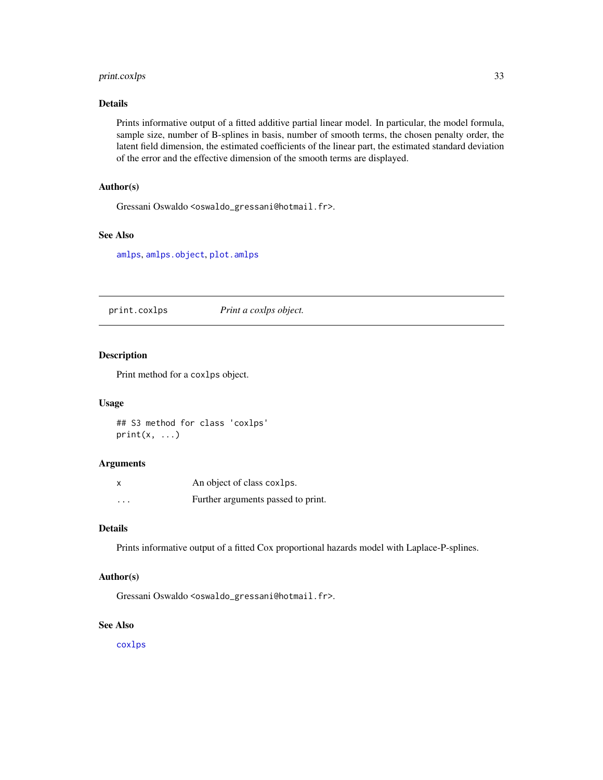### <span id="page-32-0"></span>print.coxlps 33

### Details

Prints informative output of a fitted additive partial linear model. In particular, the model formula, sample size, number of B-splines in basis, number of smooth terms, the chosen penalty order, the latent field dimension, the estimated coefficients of the linear part, the estimated standard deviation of the error and the effective dimension of the smooth terms are displayed.

#### Author(s)

Gressani Oswaldo <oswaldo\_gressani@hotmail.fr>.

### See Also

[amlps](#page-1-1), [amlps.object](#page-3-1), [plot.amlps](#page-25-1)

print.coxlps *Print a coxlps object.*

#### Description

Print method for a coxlps object.

#### Usage

## S3 method for class 'coxlps'  $print(x, \ldots)$ 

#### Arguments

| X        | An object of class coxlps.         |
|----------|------------------------------------|
| $\cdots$ | Further arguments passed to print. |

### Details

Prints informative output of a fitted Cox proportional hazards model with Laplace-P-splines.

#### Author(s)

Gressani Oswaldo <oswaldo\_gressani@hotmail.fr>.

### See Also

[coxlps](#page-5-1)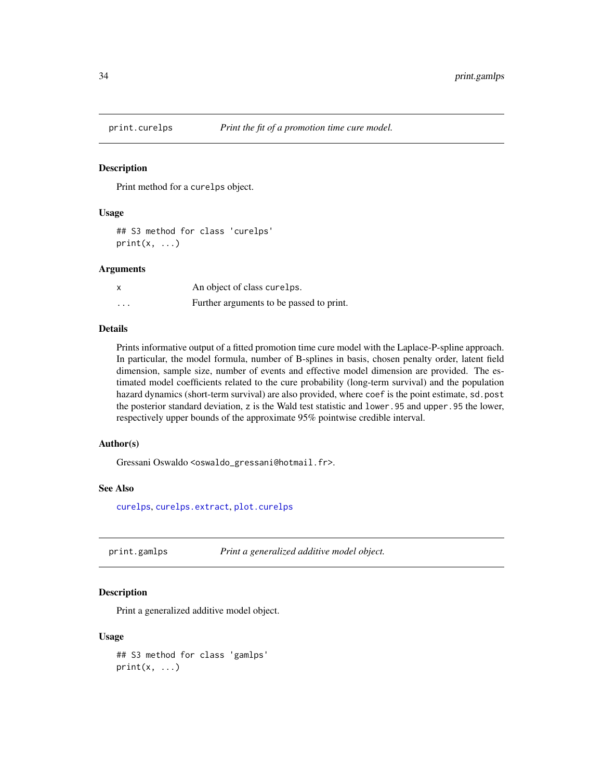<span id="page-33-1"></span><span id="page-33-0"></span>

#### Description

Print method for a curelps object.

#### Usage

```
## S3 method for class 'curelps'
print(x, \ldots)
```
#### Arguments

| X | An object of class curelps.              |
|---|------------------------------------------|
| . | Further arguments to be passed to print. |

#### Details

Prints informative output of a fitted promotion time cure model with the Laplace-P-spline approach. In particular, the model formula, number of B-splines in basis, chosen penalty order, latent field dimension, sample size, number of events and effective model dimension are provided. The estimated model coefficients related to the cure probability (long-term survival) and the population hazard dynamics (short-term survival) are also provided, where coef is the point estimate, sd.post the posterior standard deviation, z is the Wald test statistic and lower. 95 and upper.95 the lower, respectively upper bounds of the approximate 95% pointwise credible interval.

### Author(s)

Gressani Oswaldo <oswaldo\_gressani@hotmail.fr>.

#### See Also

[curelps](#page-11-1), [curelps.extract](#page-13-1), [plot.curelps](#page-28-1)

<span id="page-33-2"></span>print.gamlps *Print a generalized additive model object.*

#### **Description**

Print a generalized additive model object.

#### Usage

```
## S3 method for class 'gamlps'
print(x, \ldots)
```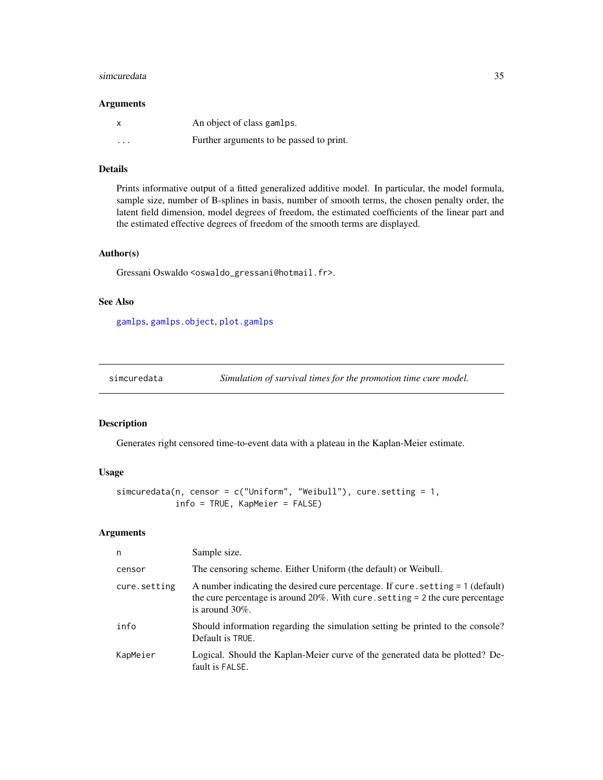#### <span id="page-34-0"></span>simcuredata 35

#### Arguments

|                         | An object of class gamlps.               |
|-------------------------|------------------------------------------|
| $\cdot$ $\cdot$ $\cdot$ | Further arguments to be passed to print. |

### Details

Prints informative output of a fitted generalized additive model. In particular, the model formula, sample size, number of B-splines in basis, number of smooth terms, the chosen penalty order, the latent field dimension, model degrees of freedom, the estimated coefficients of the linear part and the estimated effective degrees of freedom of the smooth terms are displayed.

#### Author(s)

Gressani Oswaldo <oswaldo\_gressani@hotmail.fr>.

#### See Also

[gamlps](#page-17-1), [gamlps.object](#page-19-1), [plot.gamlps](#page-30-1)

simcuredata *Simulation of survival times for the promotion time cure model.*

#### Description

Generates right censored time-to-event data with a plateau in the Kaplan-Meier estimate.

#### Usage

```
simcuredata(n, censor = c("Uniform", "Weibull"), cure.setting = 1,
            info = TRUE, KapMeier = FALSE)
```

| n            | Sample size.                                                                                                                                                                              |
|--------------|-------------------------------------------------------------------------------------------------------------------------------------------------------------------------------------------|
| censor       | The censoring scheme. Either Uniform (the default) or Weibull.                                                                                                                            |
| cure.setting | A number indicating the desired cure percentage. If cure, setting = 1 (default)<br>the cure percentage is around $20\%$ . With cure setting = 2 the cure percentage<br>is around $30\%$ . |
| info         | Should information regarding the simulation setting be printed to the console?<br>Default is TRUE.                                                                                        |
| KapMeier     | Logical. Should the Kaplan-Meier curve of the generated data be plotted? De-<br>fault is FALSE.                                                                                           |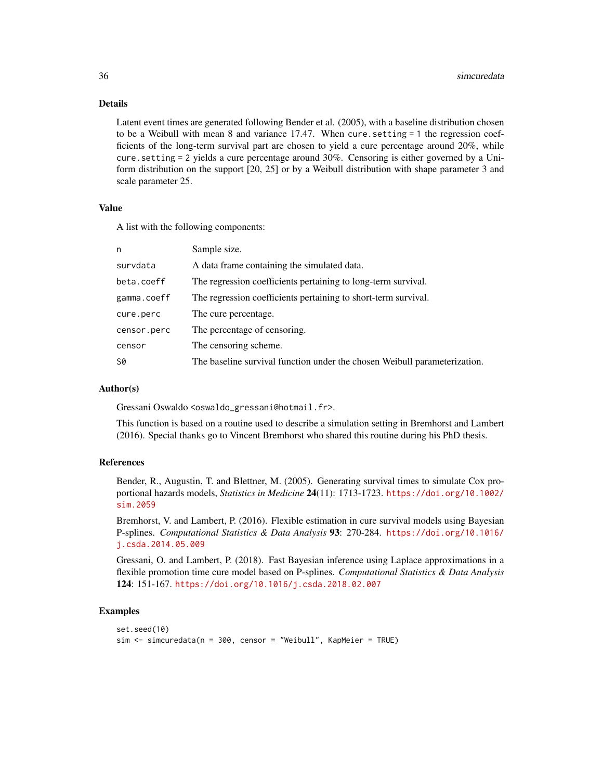### Details

Latent event times are generated following Bender et al. (2005), with a baseline distribution chosen to be a Weibull with mean 8 and variance 17.47. When cure.setting = 1 the regression coefficients of the long-term survival part are chosen to yield a cure percentage around 20%, while cure.setting = 2 yields a cure percentage around 30%. Censoring is either governed by a Uniform distribution on the support [20, 25] or by a Weibull distribution with shape parameter 3 and scale parameter 25.

#### Value

A list with the following components:

| n           | Sample size.                                                              |
|-------------|---------------------------------------------------------------------------|
| survdata    | A data frame containing the simulated data.                               |
| beta.coeff  | The regression coefficients pertaining to long-term survival.             |
| gamma.coeff | The regression coefficients pertaining to short-term survival.            |
| cure.perc   | The cure percentage.                                                      |
| censor.perc | The percentage of censoring.                                              |
| censor      | The censoring scheme.                                                     |
| <b>S0</b>   | The baseline survival function under the chosen Weibull parameterization. |

### Author(s)

Gressani Oswaldo <oswaldo\_gressani@hotmail.fr>.

This function is based on a routine used to describe a simulation setting in Bremhorst and Lambert (2016). Special thanks go to Vincent Bremhorst who shared this routine during his PhD thesis.

### References

Bender, R., Augustin, T. and Blettner, M. (2005). Generating survival times to simulate Cox proportional hazards models, *Statistics in Medicine* 24(11): 1713-1723. [https://doi.org/10.1002/](https://doi.org/10.1002/sim.2059) [sim.2059](https://doi.org/10.1002/sim.2059)

Bremhorst, V. and Lambert, P. (2016). Flexible estimation in cure survival models using Bayesian P-splines. *Computational Statistics & Data Analysis* 93: 270-284. [https://doi.org/10.1016/](https://doi.org/10.1016/j.csda.2014.05.009) [j.csda.2014.05.009](https://doi.org/10.1016/j.csda.2014.05.009)

Gressani, O. and Lambert, P. (2018). Fast Bayesian inference using Laplace approximations in a flexible promotion time cure model based on P-splines. *Computational Statistics & Data Analysis* 124: 151-167. <https://doi.org/10.1016/j.csda.2018.02.007>

### Examples

```
set.seed(10)
sim <- simcuredata(n = 300, censor = "Weibull", KapMeier = TRUE)
```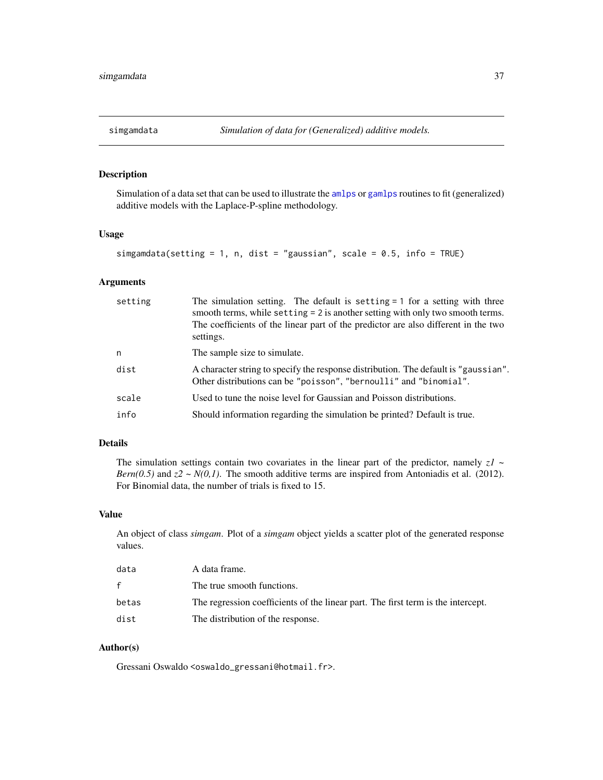<span id="page-36-0"></span>

### Description

Simulation of a data set that can be used to illustrate the [amlps](#page-1-1) or [gamlps](#page-17-1) routines to fit (generalized) additive models with the Laplace-P-spline methodology.

### Usage

```
simgamdata(setting = 1, n, dist = "gaussian", scale = 0.5, info = TRUE)
```
### Arguments

| setting | The simulation setting. The default is setting $= 1$ for a setting with three<br>smooth terms, while setting = 2 is another setting with only two smooth terms.<br>The coefficients of the linear part of the predictor are also different in the two<br>settings. |
|---------|--------------------------------------------------------------------------------------------------------------------------------------------------------------------------------------------------------------------------------------------------------------------|
| n       | The sample size to simulate.                                                                                                                                                                                                                                       |
| dist    | A character string to specify the response distribution. The default is "gaussian".<br>Other distributions can be "poisson", "bernoulli" and "binomial".                                                                                                           |
| scale   | Used to tune the noise level for Gaussian and Poisson distributions.                                                                                                                                                                                               |
| info    | Should information regarding the simulation be printed? Default is true.                                                                                                                                                                                           |

### Details

The simulation settings contain two covariates in the linear part of the predictor, namely  $zI \sim$ *Bern(0.5)* and  $z^2 \sim N(0,1)$ . The smooth additive terms are inspired from Antoniadis et al. (2012). For Binomial data, the number of trials is fixed to 15.

### Value

An object of class *simgam*. Plot of a *simgam* object yields a scatter plot of the generated response values.

| data  | A data frame.                                                                    |
|-------|----------------------------------------------------------------------------------|
| f.    | The true smooth functions.                                                       |
| betas | The regression coefficients of the linear part. The first term is the intercept. |
| dist  | The distribution of the response.                                                |

### Author(s)

Gressani Oswaldo <oswaldo\_gressani@hotmail.fr>.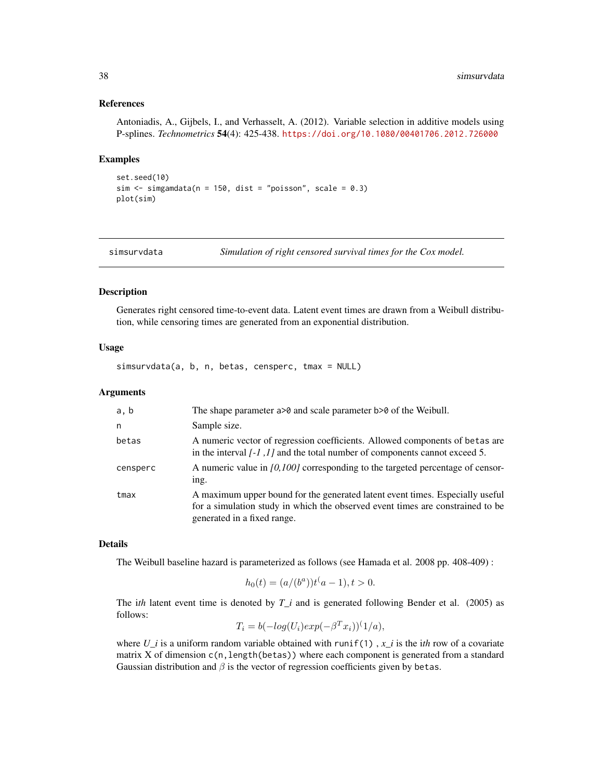#### References

Antoniadis, A., Gijbels, I., and Verhasselt, A. (2012). Variable selection in additive models using P-splines. *Technometrics* 54(4): 425-438. <https://doi.org/10.1080/00401706.2012.726000>

#### Examples

```
set.seed(10)
sim \le simgamdata(n = 150, dist = "poisson", scale = 0.3)
plot(sim)
```
<span id="page-37-1"></span>simsurvdata *Simulation of right censored survival times for the Cox model.*

### Description

Generates right censored time-to-event data. Latent event times are drawn from a Weibull distribution, while censoring times are generated from an exponential distribution.

#### Usage

simsurvdata(a, b, n, betas, censperc, tmax = NULL)

#### **Arguments**

| a, b     | The shape parameter $a > 0$ and scale parameter $b > 0$ of the Weibull.                                                                                                                        |
|----------|------------------------------------------------------------------------------------------------------------------------------------------------------------------------------------------------|
| n        | Sample size.                                                                                                                                                                                   |
| betas    | A numeric vector of regression coefficients. Allowed components of betas are<br>in the interval $[-1,1]$ and the total number of components cannot exceed 5.                                   |
| censperc | A numeric value in $[0,100]$ corresponding to the targeted percentage of censor-<br>ing.                                                                                                       |
| tmax     | A maximum upper bound for the generated latent event times. Especially useful<br>for a simulation study in which the observed event times are constrained to be<br>generated in a fixed range. |

### Details

The Weibull baseline hazard is parameterized as follows (see Hamada et al. 2008 pp. 408-409) :

$$
h_0(t) = (a/(b^a))t^{\dagger}a - 1, t > 0.
$$

The i*th* latent event time is denoted by *T\_i* and is generated following Bender et al. (2005) as follows:

$$
T_i = b(-\log(U_i) \exp(-\beta^T x_i))^T1/a),
$$

where  $U_i$  is a uniform random variable obtained with runif(1),  $x_i$  is the i*th* row of a covariate matrix X of dimension  $c(n, length(betas))$  where each component is generated from a standard Gaussian distribution and  $\beta$  is the vector of regression coefficients given by betas.

<span id="page-37-0"></span>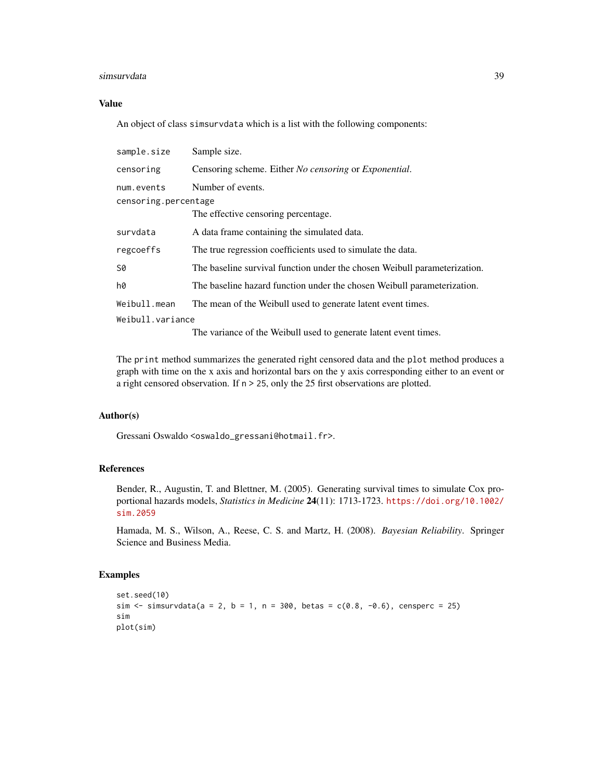#### simsurvdata 39

### Value

An object of class simsurvdata which is a list with the following components:

| sample.size                        | Sample size.                                                              |
|------------------------------------|---------------------------------------------------------------------------|
| censoring                          | Censoring scheme. Either <i>No censoring</i> or <i>Exponential</i> .      |
| num.events<br>censoring.percentage | Number of events.                                                         |
|                                    | The effective censoring percentage.                                       |
| survdata                           | A data frame containing the simulated data.                               |
| regcoeffs                          | The true regression coefficients used to simulate the data.               |
| S0                                 | The baseline survival function under the chosen Weibull parameterization. |
| h0                                 | The baseline hazard function under the chosen Weibull parameterization.   |
| Weibull.mean                       | The mean of the Weibull used to generate latent event times.              |
| Weibull.variance                   |                                                                           |
|                                    | The variance of the Weibull used to generate latent event times.          |

The print method summarizes the generated right censored data and the plot method produces a graph with time on the x axis and horizontal bars on the y axis corresponding either to an event or a right censored observation. If n > 25, only the 25 first observations are plotted.

### Author(s)

Gressani Oswaldo <oswaldo\_gressani@hotmail.fr>.

### References

Bender, R., Augustin, T. and Blettner, M. (2005). Generating survival times to simulate Cox proportional hazards models, *Statistics in Medicine* 24(11): 1713-1723. [https://doi.org/10.1002/](https://doi.org/10.1002/sim.2059) [sim.2059](https://doi.org/10.1002/sim.2059)

Hamada, M. S., Wilson, A., Reese, C. S. and Martz, H. (2008). *Bayesian Reliability*. Springer Science and Business Media.

### Examples

```
set.seed(10)
sim \le simsurvdata(a = 2, b = 1, n = 300, betas = c(0.8, -0.6), censperc = 25)
sim
plot(sim)
```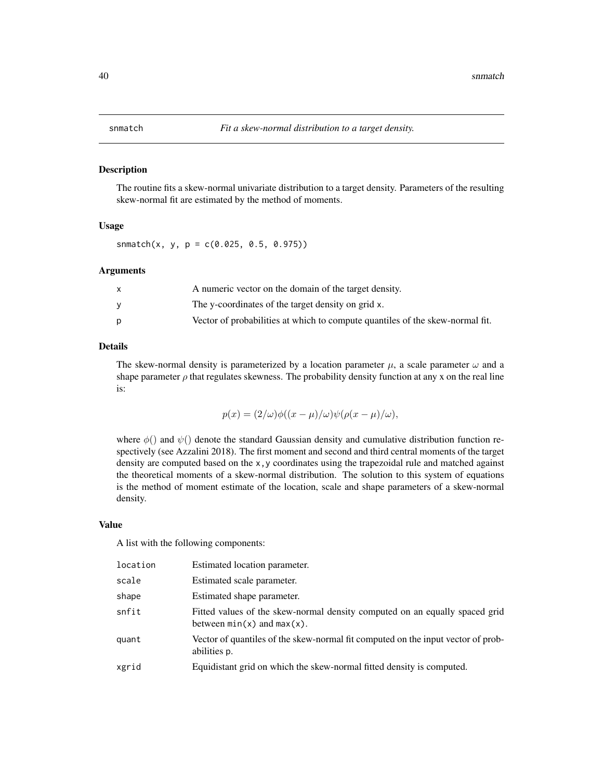#### <span id="page-39-0"></span>Description

The routine fits a skew-normal univariate distribution to a target density. Parameters of the resulting skew-normal fit are estimated by the method of moments.

#### Usage

snmatch(x, y, p =  $c(0.025, 0.5, 0.975)$ )

### Arguments

| A numeric vector on the domain of the target density.                         |
|-------------------------------------------------------------------------------|
| The y-coordinates of the target density on grid x.                            |
| Vector of probabilities at which to compute quantiles of the skew-normal fit. |

### Details

The skew-normal density is parameterized by a location parameter  $\mu$ , a scale parameter  $\omega$  and a shape parameter  $\rho$  that regulates skewness. The probability density function at any x on the real line is:

$$
p(x) = (2/\omega)\phi((x - \mu)/\omega)\psi(\rho(x - \mu)/\omega),
$$

where  $\phi()$  and  $\psi()$  denote the standard Gaussian density and cumulative distribution function respectively (see Azzalini 2018). The first moment and second and third central moments of the target density are computed based on the  $x, y$  coordinates using the trapezoidal rule and matched against the theoretical moments of a skew-normal distribution. The solution to this system of equations is the method of moment estimate of the location, scale and shape parameters of a skew-normal density.

### Value

A list with the following components:

| location | Estimated location parameter.                                                                                  |
|----------|----------------------------------------------------------------------------------------------------------------|
| scale    | Estimated scale parameter.                                                                                     |
| shape    | Estimated shape parameter.                                                                                     |
| snfit    | Fitted values of the skew-normal density computed on an equally spaced grid<br>between $min(x)$ and $max(x)$ . |
| quant    | Vector of quantiles of the skew-normal fit computed on the input vector of prob-<br>abilities p.               |
| xgrid    | Equidistant grid on which the skew-normal fitted density is computed.                                          |
|          |                                                                                                                |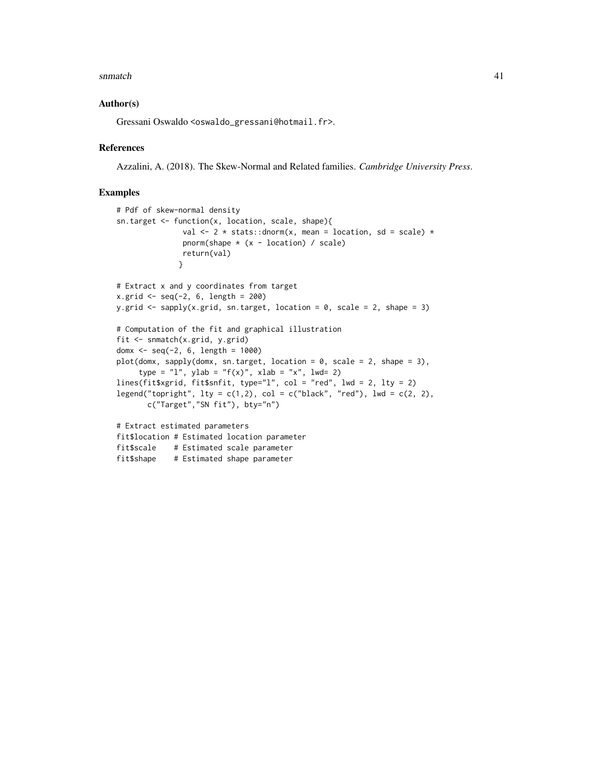#### snmatch  $\frac{41}{41}$

#### Author(s)

Gressani Oswaldo <oswaldo\_gressani@hotmail.fr>.

#### References

Azzalini, A. (2018). The Skew-Normal and Related families. *Cambridge University Press*.

### Examples

```
# Pdf of skew-normal density
sn.target <- function(x, location, scale, shape){
               val \leq 2 \star stats:: dnorm(x, mean = location, sd = scale) \starpnorm(shape * (x - location) / scale)
               return(val)
              }
# Extract x and y coordinates from target
x.grid \le -seq(-2, 6, length = 200)y.grid \leq sapply(x.grid, sn.target, location = 0, scale = 2, shape = 3)
# Computation of the fit and graphical illustration
fit <- snmatch(x.grid, y.grid)
domx <- seq(-2, 6, length = 1000)
plot(domx, sapply(domx, sn.target, location = 0, scale = 2, shape = 3),type = "l", ylab = "f(x)", xlab = "x", lwd= 2)
lines(fit$xgrid, fit$snfit, type="l", col = "red", lwd = 2, lty = 2)
legend("topright", lty = c(1,2), col = c("black", "red"), lwd = c(2, 2),c("Target","SN fit"), bty="n")
# Extract estimated parameters
fit$location # Estimated location parameter
fit$scale # Estimated scale parameter
fit$shape # Estimated shape parameter
```